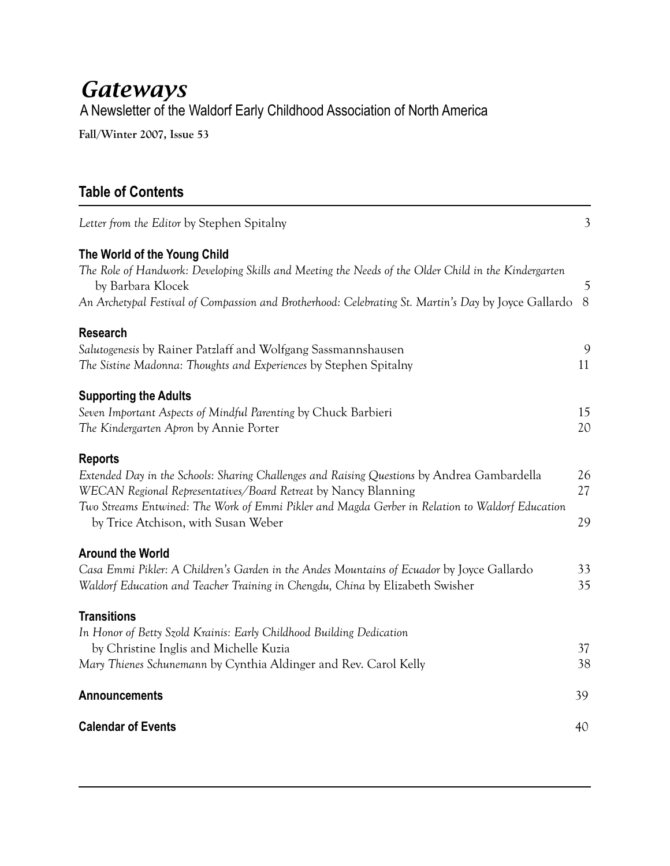# *Gateways* A Newsletter of the Waldorf Early Childhood Association of North America

**Fall/Winter 2007, Issue 53**

# **Table of Contents**

| Letter from the Editor by Stephen Spitalny                                                                                                                                                                                                                                                                                | $\mathfrak{Z}$ |
|---------------------------------------------------------------------------------------------------------------------------------------------------------------------------------------------------------------------------------------------------------------------------------------------------------------------------|----------------|
| The World of the Young Child<br>The Role of Handwork: Developing Skills and Meeting the Needs of the Older Child in the Kindergarten<br>by Barbara Klocek<br>An Archetypal Festival of Compassion and Brotherhood: Celebrating St. Martin's Day by Joyce Gallardo                                                         | 5<br>8         |
| <b>Research</b><br>Salutogenesis by Rainer Patzlaff and Wolfgang Sassmannshausen                                                                                                                                                                                                                                          | 9              |
| The Sistine Madonna: Thoughts and Experiences by Stephen Spitalny                                                                                                                                                                                                                                                         | 11             |
| <b>Supporting the Adults</b><br>Seven Important Aspects of Mindful Parenting by Chuck Barbieri<br>The Kindergarten Apron by Annie Porter                                                                                                                                                                                  | 15<br>20       |
| <b>Reports</b><br>Extended Day in the Schools: Sharing Challenges and Raising Questions by Andrea Gambardella<br>WECAN Regional Representatives/Board Retreat by Nancy Blanning<br>Two Streams Entwined: The Work of Emmi Pikler and Magda Gerber in Relation to Waldorf Education<br>by Trice Atchison, with Susan Weber | 26<br>27<br>29 |
| <b>Around the World</b><br>Casa Emmi Pikler: A Children's Garden in the Andes Mountains of Ecuador by Joyce Gallardo<br>Waldorf Education and Teacher Training in Chengdu, China by Elizabeth Swisher                                                                                                                     | 33<br>35       |
| <b>Transitions</b><br>In Honor of Betty Szold Krainis: Early Childhood Building Dedication<br>by Christine Inglis and Michelle Kuzia<br>Mary Thienes Schunemann by Cynthia Aldinger and Rev. Carol Kelly                                                                                                                  | 37<br>38       |
| <b>Announcements</b>                                                                                                                                                                                                                                                                                                      | 39             |
| <b>Calendar of Events</b>                                                                                                                                                                                                                                                                                                 | 40             |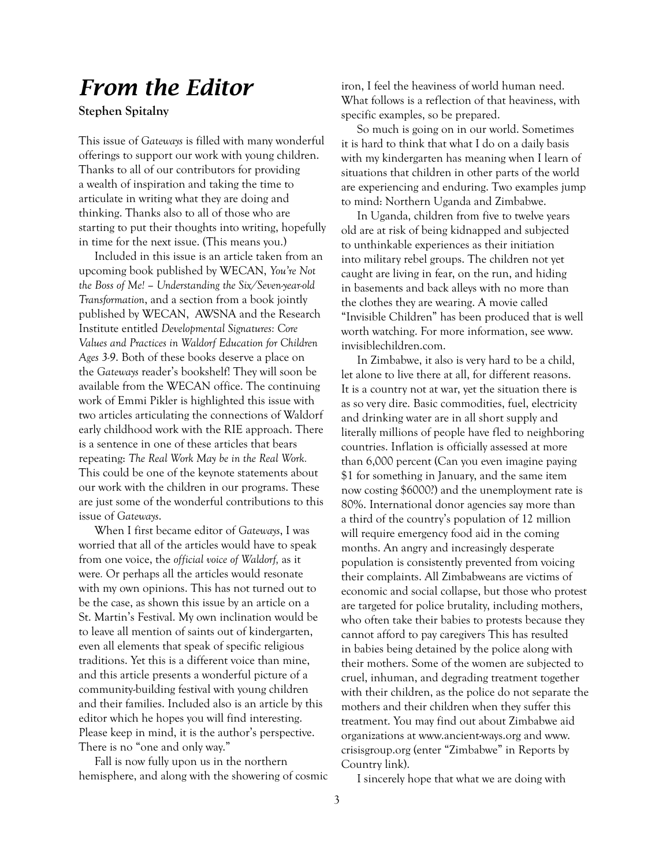# *From the Editor*

## **Stephen Spitalny**

This issue of *Gateways* is filled with many wonderful offerings to support our work with young children. Thanks to all of our contributors for providing a wealth of inspiration and taking the time to articulate in writing what they are doing and thinking. Thanks also to all of those who are starting to put their thoughts into writing, hopefully in time for the next issue. (This means you.)

Included in this issue is an article taken from an upcoming book published by WECAN, *You're Not the Boss of Me! – Understanding the Six/Seven-year-old Transformation*, and a section from a book jointly published by WECAN, AWSNA and the Research Institute entitled *Developmental Signatures: Core Values and Practices in Waldorf Education for Children Ages 3-9*. Both of these books deserve a place on the *Gateways* reader's bookshelf! They will soon be available from the WECAN office. The continuing work of Emmi Pikler is highlighted this issue with two articles articulating the connections of Waldorf early childhood work with the RIE approach. There is a sentence in one of these articles that bears repeating: *The Real Work May be in the Real Work.* This could be one of the keynote statements about our work with the children in our programs. These are just some of the wonderful contributions to this issue of *Gateways*.

When I first became editor of *Gateways*, I was worried that all of the articles would have to speak from one voice, the *official voice of Waldorf,* as it were*.* Or perhaps all the articles would resonate with my own opinions. This has not turned out to be the case, as shown this issue by an article on a St. Martin's Festival. My own inclination would be to leave all mention of saints out of kindergarten, even all elements that speak of specific religious traditions. Yet this is a different voice than mine, and this article presents a wonderful picture of a community-building festival with young children and their families. Included also is an article by this editor which he hopes you will find interesting. Please keep in mind, it is the author's perspective. There is no "one and only way."

Fall is now fully upon us in the northern hemisphere, and along with the showering of cosmic iron, I feel the heaviness of world human need. What follows is a reflection of that heaviness, with specific examples, so be prepared.

So much is going on in our world. Sometimes it is hard to think that what I do on a daily basis with my kindergarten has meaning when I learn of situations that children in other parts of the world are experiencing and enduring. Two examples jump to mind: Northern Uganda and Zimbabwe.

In Uganda, children from five to twelve years old are at risk of being kidnapped and subjected to unthinkable experiences as their initiation into military rebel groups. The children not yet caught are living in fear, on the run, and hiding in basements and back alleys with no more than the clothes they are wearing. A movie called "Invisible Children" has been produced that is well worth watching. For more information, see www. invisiblechildren.com.

In Zimbabwe, it also is very hard to be a child, let alone to live there at all, for different reasons. It is a country not at war, yet the situation there is as so very dire. Basic commodities, fuel, electricity and drinking water are in all short supply and literally millions of people have fled to neighboring countries. Inflation is officially assessed at more than 6,000 percent (Can you even imagine paying \$1 for something in January, and the same item now costing \$6000?) and the unemployment rate is 80%. International donor agencies say more than a third of the country's population of 12 million will require emergency food aid in the coming months. An angry and increasingly desperate population is consistently prevented from voicing their complaints. All Zimbabweans are victims of economic and social collapse, but those who protest are targeted for police brutality, including mothers, who often take their babies to protests because they cannot afford to pay caregivers This has resulted in babies being detained by the police along with their mothers. Some of the women are subjected to cruel, inhuman, and degrading treatment together with their children, as the police do not separate the mothers and their children when they suffer this treatment. You may find out about Zimbabwe aid organizations at www.ancient-ways.org and www. crisisgroup.org (enter "Zimbabwe" in Reports by Country link).

I sincerely hope that what we are doing with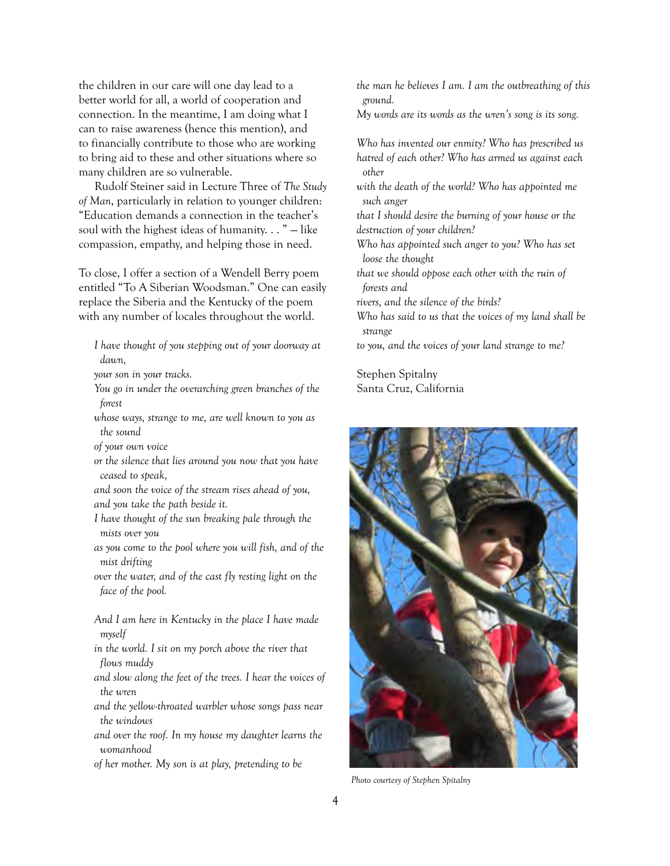the children in our care will one day lead to a better world for all, a world of cooperation and connection. In the meantime, I am doing what I can to raise awareness (hence this mention), and to financially contribute to those who are working to bring aid to these and other situations where so many children are so vulnerable.

Rudolf Steiner said in Lecture Three of *The Study of Man*, particularly in relation to younger children: "Education demands a connection in the teacher's soul with the highest ideas of humanity.  $\ldots$  " — like compassion, empathy, and helping those in need.

To close, I offer a section of a Wendell Berry poem entitled "To A Siberian Woodsman." One can easily replace the Siberia and the Kentucky of the poem with any number of locales throughout the world.

*I have thought of you stepping out of your doorway at dawn,* 

- *your son in your tracks.*
- *You go in under the overarching green branches of the forest*
- *whose ways, strange to me, are well known to you as the sound*
- *of your own voice*
- *or the silence that lies around you now that you have ceased to speak,*

*and soon the voice of the stream rises ahead of you, and you take the path beside it.* 

- *I have thought of the sun breaking pale through the mists over you*
- *as you come to the pool where you will fish, and of the mist drifting*

*over the water, and of the cast fly resting light on the face of the pool.* 

- *And I am here in Kentucky in the place I have made myself*
- *in the world. I sit on my porch above the river that flows muddy*
- *and slow along the feet of the trees. I hear the voices of the wren*
- *and the yellow-throated warbler whose songs pass near the windows*
- *and over the roof. In my house my daughter learns the womanhood*
- *of her mother. My son is at play, pretending to be*

*the man he believes I am. I am the outbreathing of this ground.* 

*My words are its words as the wren's song is its song.* 

- *Who has invented our enmity? Who has prescribed us hatred of each other? Who has armed us against each other*
- *with the death of the world? Who has appointed me such anger*
- *that I should desire the burning of your house or the destruction of your children?*
- *Who has appointed such anger to you? Who has set loose the thought*
- *that we should oppose each other with the ruin of forests and*

*rivers, and the silence of the birds?* 

- *Who has said to us that the voices of my land shall be strange*
- *to you, and the voices of your land strange to me?*

Stephen Spitalny Santa Cruz, California



*Photo courtesy of Stephen Spitalny*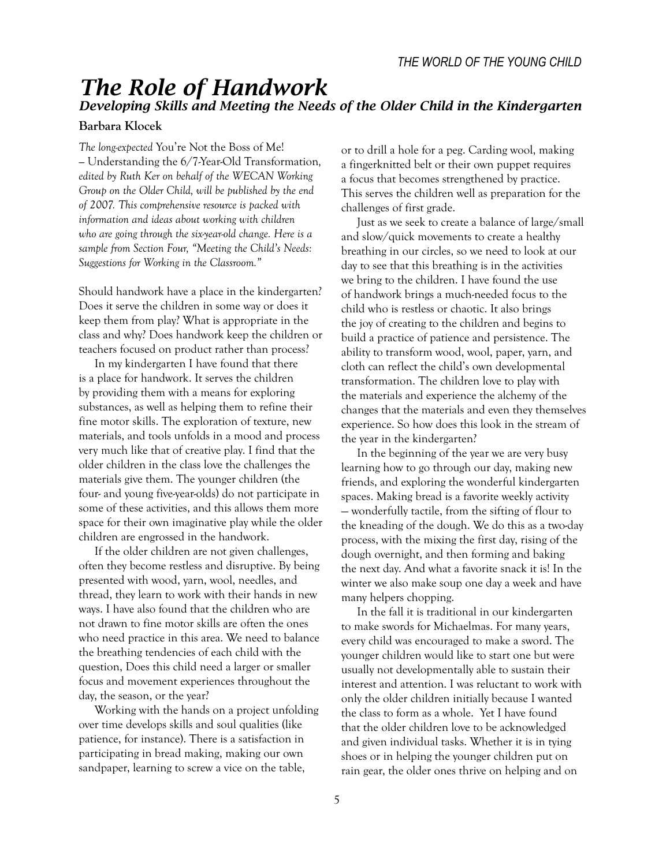# *The Role of Handwork Developing Skills and Meeting the Needs of the Older Child in the Kindergarten*

#### **Barbara Klocek**

*The long-expected* You're Not the Boss of Me! *—* Understanding the 6/7-Year-Old Transformation*, edited by Ruth Ker on behalf of the WECAN Working Group on the Older Child, will be published by the end of 2007. This comprehensive resource is packed with information and ideas about working with children who are going through the six-year-old change. Here is a sample from Section Four, "Meeting the Child's Needs: Suggestions for Working in the Classroom."*

Should handwork have a place in the kindergarten? Does it serve the children in some way or does it keep them from play? What is appropriate in the class and why? Does handwork keep the children or teachers focused on product rather than process?

In my kindergarten I have found that there is a place for handwork. It serves the children by providing them with a means for exploring substances, as well as helping them to refine their fine motor skills. The exploration of texture, new materials, and tools unfolds in a mood and process very much like that of creative play. I find that the older children in the class love the challenges the materials give them. The younger children (the four- and young five-year-olds) do not participate in some of these activities, and this allows them more space for their own imaginative play while the older children are engrossed in the handwork.

If the older children are not given challenges, often they become restless and disruptive. By being presented with wood, yarn, wool, needles, and thread, they learn to work with their hands in new ways. I have also found that the children who are not drawn to fine motor skills are often the ones who need practice in this area. We need to balance the breathing tendencies of each child with the question, Does this child need a larger or smaller focus and movement experiences throughout the day, the season, or the year?

Working with the hands on a project unfolding over time develops skills and soul qualities (like patience, for instance). There is a satisfaction in participating in bread making, making our own sandpaper, learning to screw a vice on the table,

or to drill a hole for a peg. Carding wool, making a fingerknitted belt or their own puppet requires a focus that becomes strengthened by practice. This serves the children well as preparation for the challenges of first grade.

Just as we seek to create a balance of large/small and slow/quick movements to create a healthy breathing in our circles, so we need to look at our day to see that this breathing is in the activities we bring to the children. I have found the use of handwork brings a much-needed focus to the child who is restless or chaotic. It also brings the joy of creating to the children and begins to build a practice of patience and persistence. The ability to transform wood, wool, paper, yarn, and cloth can reflect the child's own developmental transformation. The children love to play with the materials and experience the alchemy of the changes that the materials and even they themselves experience. So how does this look in the stream of the year in the kindergarten?

In the beginning of the year we are very busy learning how to go through our day, making new friends, and exploring the wonderful kindergarten spaces. Making bread is a favorite weekly activity — wonderfully tactile, from the sifting of flour to the kneading of the dough. We do this as a two-day process, with the mixing the first day, rising of the dough overnight, and then forming and baking the next day. And what a favorite snack it is! In the winter we also make soup one day a week and have many helpers chopping.

In the fall it is traditional in our kindergarten to make swords for Michaelmas. For many years, every child was encouraged to make a sword. The younger children would like to start one but were usually not developmentally able to sustain their interest and attention. I was reluctant to work with only the older children initially because I wanted the class to form as a whole. Yet I have found that the older children love to be acknowledged and given individual tasks. Whether it is in tying shoes or in helping the younger children put on rain gear, the older ones thrive on helping and on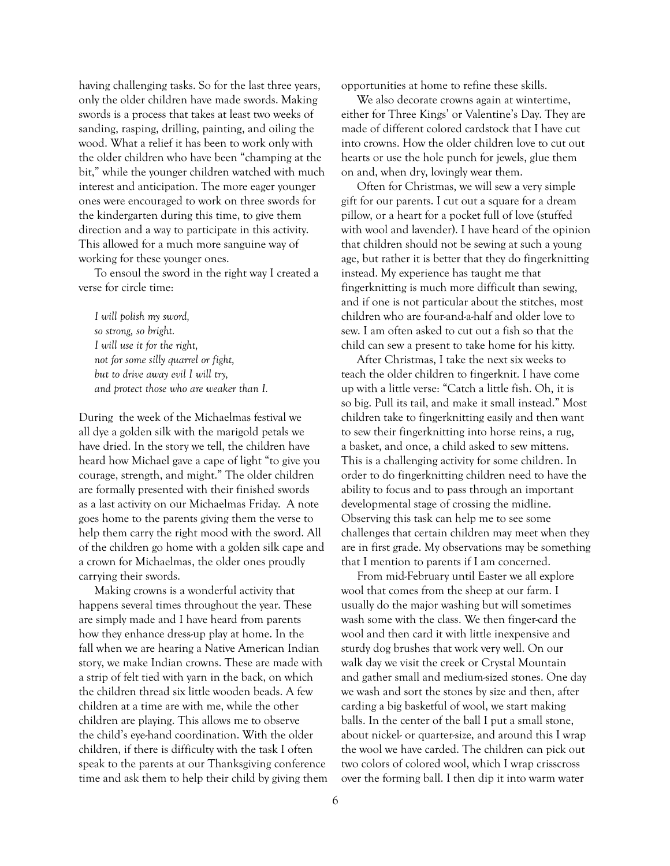having challenging tasks. So for the last three years, only the older children have made swords. Making swords is a process that takes at least two weeks of sanding, rasping, drilling, painting, and oiling the wood. What a relief it has been to work only with the older children who have been "champing at the bit," while the younger children watched with much interest and anticipation. The more eager younger ones were encouraged to work on three swords for the kindergarten during this time, to give them direction and a way to participate in this activity. This allowed for a much more sanguine way of working for these younger ones.

To ensoul the sword in the right way I created a verse for circle time:

*I will polish my sword, so strong, so bright. I will use it for the right, not for some silly quarrel or fight, but to drive away evil I will try, and protect those who are weaker than I.*

During the week of the Michaelmas festival we all dye a golden silk with the marigold petals we have dried. In the story we tell, the children have heard how Michael gave a cape of light "to give you courage, strength, and might." The older children are formally presented with their finished swords as a last activity on our Michaelmas Friday. A note goes home to the parents giving them the verse to help them carry the right mood with the sword. All of the children go home with a golden silk cape and a crown for Michaelmas, the older ones proudly carrying their swords.

Making crowns is a wonderful activity that happens several times throughout the year. These are simply made and I have heard from parents how they enhance dress-up play at home. In the fall when we are hearing a Native American Indian story, we make Indian crowns. These are made with a strip of felt tied with yarn in the back, on which the children thread six little wooden beads. A few children at a time are with me, while the other children are playing. This allows me to observe the child's eye-hand coordination. With the older children, if there is difficulty with the task I often speak to the parents at our Thanksgiving conference time and ask them to help their child by giving them opportunities at home to refine these skills.

We also decorate crowns again at wintertime, either for Three Kings' or Valentine's Day. They are made of different colored cardstock that I have cut into crowns. How the older children love to cut out hearts or use the hole punch for jewels, glue them on and, when dry, lovingly wear them.

Often for Christmas, we will sew a very simple gift for our parents. I cut out a square for a dream pillow, or a heart for a pocket full of love (stuffed with wool and lavender). I have heard of the opinion that children should not be sewing at such a young age, but rather it is better that they do fingerknitting instead. My experience has taught me that fingerknitting is much more difficult than sewing, and if one is not particular about the stitches, most children who are four-and-a-half and older love to sew. I am often asked to cut out a fish so that the child can sew a present to take home for his kitty.

After Christmas, I take the next six weeks to teach the older children to fingerknit. I have come up with a little verse: "Catch a little fish. Oh, it is so big. Pull its tail, and make it small instead." Most children take to fingerknitting easily and then want to sew their fingerknitting into horse reins, a rug, a basket, and once, a child asked to sew mittens. This is a challenging activity for some children. In order to do fingerknitting children need to have the ability to focus and to pass through an important developmental stage of crossing the midline. Observing this task can help me to see some challenges that certain children may meet when they are in first grade. My observations may be something that I mention to parents if I am concerned.

From mid-February until Easter we all explore wool that comes from the sheep at our farm. I usually do the major washing but will sometimes wash some with the class. We then finger-card the wool and then card it with little inexpensive and sturdy dog brushes that work very well. On our walk day we visit the creek or Crystal Mountain and gather small and medium-sized stones. One day we wash and sort the stones by size and then, after carding a big basketful of wool, we start making balls. In the center of the ball I put a small stone, about nickel- or quarter-size, and around this I wrap the wool we have carded. The children can pick out two colors of colored wool, which I wrap crisscross over the forming ball. I then dip it into warm water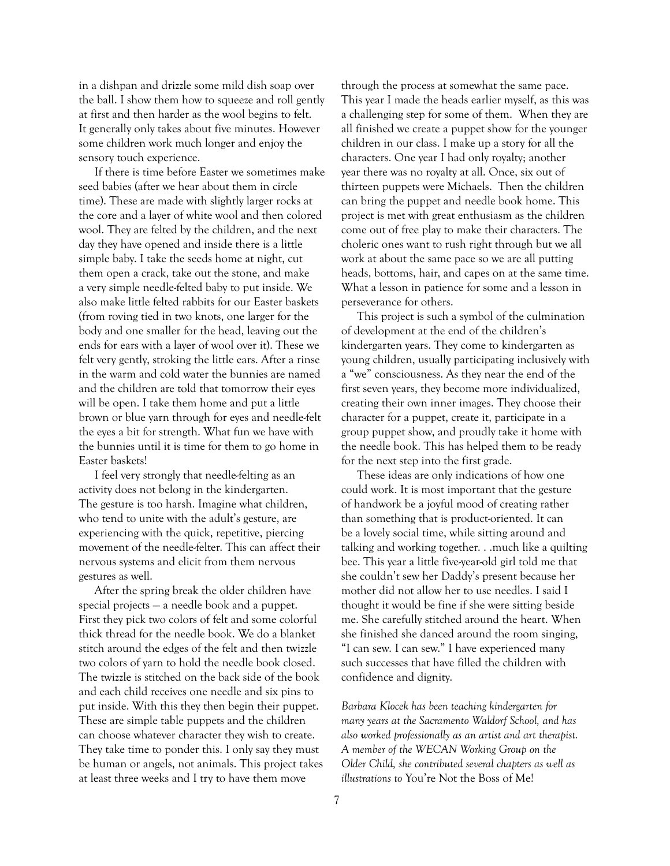in a dishpan and drizzle some mild dish soap over the ball. I show them how to squeeze and roll gently at first and then harder as the wool begins to felt. It generally only takes about five minutes. However some children work much longer and enjoy the sensory touch experience.

If there is time before Easter we sometimes make seed babies (after we hear about them in circle time). These are made with slightly larger rocks at the core and a layer of white wool and then colored wool. They are felted by the children, and the next day they have opened and inside there is a little simple baby. I take the seeds home at night, cut them open a crack, take out the stone, and make a very simple needle-felted baby to put inside. We also make little felted rabbits for our Easter baskets (from roving tied in two knots, one larger for the body and one smaller for the head, leaving out the ends for ears with a layer of wool over it). These we felt very gently, stroking the little ears. After a rinse in the warm and cold water the bunnies are named and the children are told that tomorrow their eyes will be open. I take them home and put a little brown or blue yarn through for eyes and needle-felt the eyes a bit for strength. What fun we have with the bunnies until it is time for them to go home in Easter baskets!

I feel very strongly that needle-felting as an activity does not belong in the kindergarten. The gesture is too harsh. Imagine what children, who tend to unite with the adult's gesture, are experiencing with the quick, repetitive, piercing movement of the needle-felter. This can affect their nervous systems and elicit from them nervous gestures as well.

After the spring break the older children have special projects — a needle book and a puppet. First they pick two colors of felt and some colorful thick thread for the needle book. We do a blanket stitch around the edges of the felt and then twizzle two colors of yarn to hold the needle book closed. The twizzle is stitched on the back side of the book and each child receives one needle and six pins to put inside. With this they then begin their puppet. These are simple table puppets and the children can choose whatever character they wish to create. They take time to ponder this. I only say they must be human or angels, not animals. This project takes at least three weeks and I try to have them move

through the process at somewhat the same pace. This year I made the heads earlier myself, as this was a challenging step for some of them. When they are all finished we create a puppet show for the younger children in our class. I make up a story for all the characters. One year I had only royalty; another year there was no royalty at all. Once, six out of thirteen puppets were Michaels. Then the children can bring the puppet and needle book home. This project is met with great enthusiasm as the children come out of free play to make their characters. The choleric ones want to rush right through but we all work at about the same pace so we are all putting heads, bottoms, hair, and capes on at the same time. What a lesson in patience for some and a lesson in perseverance for others.

This project is such a symbol of the culmination of development at the end of the children's kindergarten years. They come to kindergarten as young children, usually participating inclusively with a "we" consciousness. As they near the end of the first seven years, they become more individualized, creating their own inner images. They choose their character for a puppet, create it, participate in a group puppet show, and proudly take it home with the needle book. This has helped them to be ready for the next step into the first grade.

These ideas are only indications of how one could work. It is most important that the gesture of handwork be a joyful mood of creating rather than something that is product-oriented. It can be a lovely social time, while sitting around and talking and working together. . .much like a quilting bee. This year a little five-year-old girl told me that she couldn't sew her Daddy's present because her mother did not allow her to use needles. I said I thought it would be fine if she were sitting beside me. She carefully stitched around the heart. When she finished she danced around the room singing, "I can sew. I can sew." I have experienced many such successes that have filled the children with confidence and dignity.

*Barbara Klocek has been teaching kindergarten for many years at the Sacramento Waldorf School, and has also worked professionally as an artist and art therapist. A member of the WECAN Working Group on the Older Child, she contributed several chapters as well as illustrations to* You're Not the Boss of Me!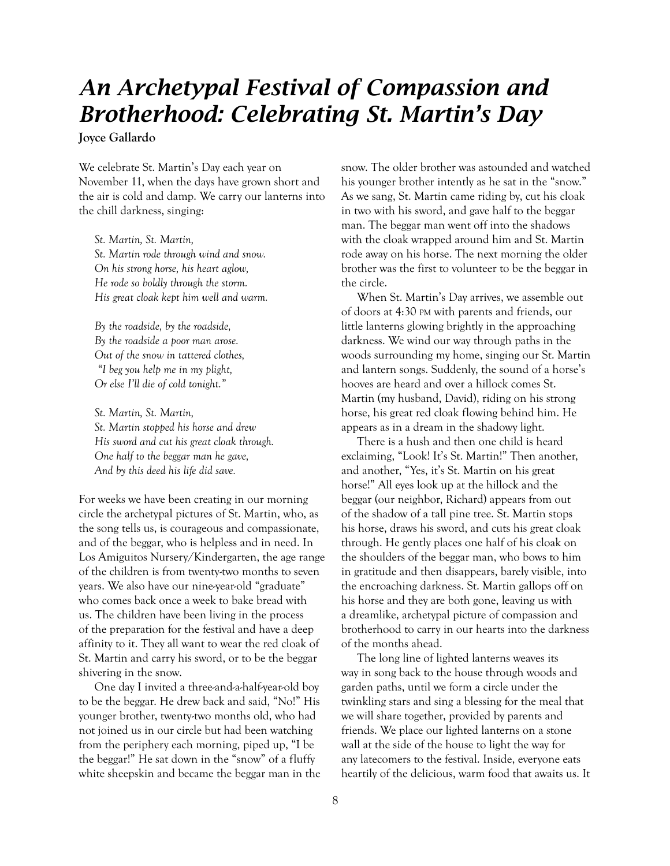# *An Archetypal Festival of Compassion and Brotherhood: Celebrating St. Martin's Day*

**Joyce Gallardo**

We celebrate St. Martin's Day each year on November 11, when the days have grown short and the air is cold and damp. We carry our lanterns into the chill darkness, singing:

*St. Martin, St. Martin, St. Martin rode through wind and snow. On his strong horse, his heart aglow, He rode so boldly through the storm. His great cloak kept him well and warm.*

*By the roadside, by the roadside, By the roadside a poor man arose. Out of the snow in tattered clothes, "I beg you help me in my plight, Or else I'll die of cold tonight."*

*St. Martin, St. Martin, St. Martin stopped his horse and drew His sword and cut his great cloak through. One half to the beggar man he gave, And by this deed his life did save.*

For weeks we have been creating in our morning circle the archetypal pictures of St. Martin, who, as the song tells us, is courageous and compassionate, and of the beggar, who is helpless and in need. In Los Amiguitos Nursery/Kindergarten, the age range of the children is from twenty-two months to seven years. We also have our nine-year-old "graduate" who comes back once a week to bake bread with us. The children have been living in the process of the preparation for the festival and have a deep affinity to it. They all want to wear the red cloak of St. Martin and carry his sword, or to be the beggar shivering in the snow.

One day I invited a three-and-a-half-year-old boy to be the beggar. He drew back and said, "No!" His younger brother, twenty-two months old, who had not joined us in our circle but had been watching from the periphery each morning, piped up, "I be the beggar!" He sat down in the "snow" of a fluffy white sheepskin and became the beggar man in the

snow. The older brother was astounded and watched his younger brother intently as he sat in the "snow." As we sang, St. Martin came riding by, cut his cloak in two with his sword, and gave half to the beggar man. The beggar man went off into the shadows with the cloak wrapped around him and St. Martin rode away on his horse. The next morning the older brother was the first to volunteer to be the beggar in the circle.

When St. Martin's Day arrives, we assemble out of doors at 4:30 PM with parents and friends, our little lanterns glowing brightly in the approaching darkness. We wind our way through paths in the woods surrounding my home, singing our St. Martin and lantern songs. Suddenly, the sound of a horse's hooves are heard and over a hillock comes St. Martin (my husband, David), riding on his strong horse, his great red cloak flowing behind him. He appears as in a dream in the shadowy light.

There is a hush and then one child is heard exclaiming, "Look! It's St. Martin!" Then another, and another, "Yes, it's St. Martin on his great horse!" All eyes look up at the hillock and the beggar (our neighbor, Richard) appears from out of the shadow of a tall pine tree. St. Martin stops his horse, draws his sword, and cuts his great cloak through. He gently places one half of his cloak on the shoulders of the beggar man, who bows to him in gratitude and then disappears, barely visible, into the encroaching darkness. St. Martin gallops off on his horse and they are both gone, leaving us with a dreamlike, archetypal picture of compassion and brotherhood to carry in our hearts into the darkness of the months ahead.

The long line of lighted lanterns weaves its way in song back to the house through woods and garden paths, until we form a circle under the twinkling stars and sing a blessing for the meal that we will share together, provided by parents and friends. We place our lighted lanterns on a stone wall at the side of the house to light the way for any latecomers to the festival. Inside, everyone eats heartily of the delicious, warm food that awaits us. It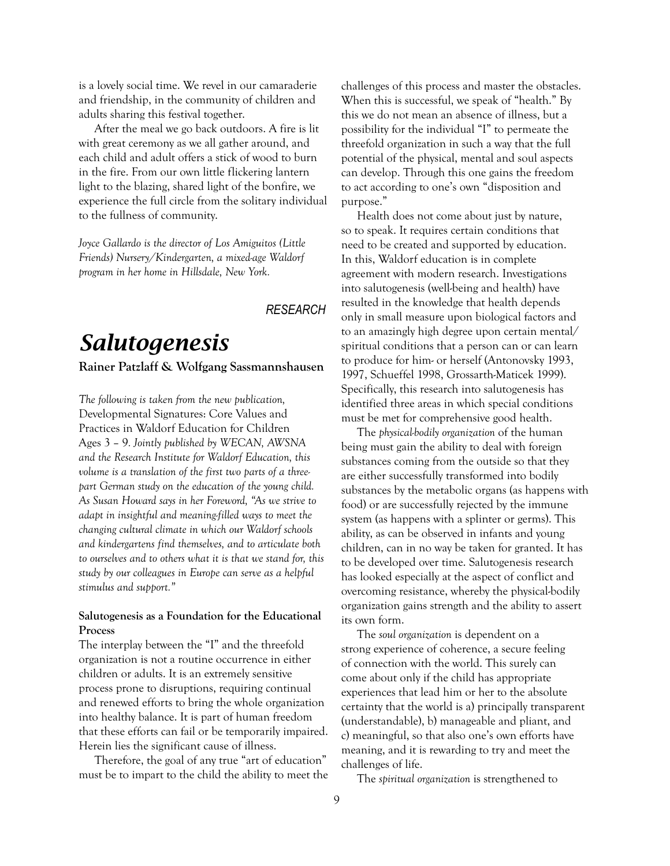is a lovely social time. We revel in our camaraderie and friendship, in the community of children and adults sharing this festival together.

After the meal we go back outdoors. A fire is lit with great ceremony as we all gather around, and each child and adult offers a stick of wood to burn in the fire. From our own little flickering lantern light to the blazing, shared light of the bonfire, we experience the full circle from the solitary individual to the fullness of community.

*Joyce Gallardo is the director of Los Amiguitos (Little Friends) Nursery/Kindergarten, a mixed-age Waldorf program in her home in Hillsdale, New York.*

### *RESEARCH*

# *Salutogenesis*

# **Rainer Patzlaff & Wolfgang Sassmannshausen**

*The following is taken from the new publication,*  Developmental Signatures: Core Values and Practices in Waldorf Education for Children Ages 3 – 9*. Jointly published by WECAN, AWSNA and the Research Institute for Waldorf Education, this volume is a translation of the first two parts of a threepart German study on the education of the young child. As Susan Howard says in her Foreword, "As we strive to adapt in insightful and meaning-filled ways to meet the changing cultural climate in which our Waldorf schools and kindergartens find themselves, and to articulate both to ourselves and to others what it is that we stand for, this study by our colleagues in Europe can serve as a helpful stimulus and support."*

#### **Salutogenesis as a Foundation for the Educational Process**

The interplay between the "I" and the threefold organization is not a routine occurrence in either children or adults. It is an extremely sensitive process prone to disruptions, requiring continual and renewed efforts to bring the whole organization into healthy balance. It is part of human freedom that these efforts can fail or be temporarily impaired. Herein lies the significant cause of illness.

Therefore, the goal of any true "art of education" must be to impart to the child the ability to meet the challenges of this process and master the obstacles. When this is successful, we speak of "health." By this we do not mean an absence of illness, but a possibility for the individual "I" to permeate the threefold organization in such a way that the full potential of the physical, mental and soul aspects can develop. Through this one gains the freedom to act according to one's own "disposition and purpose."

Health does not come about just by nature, so to speak. It requires certain conditions that need to be created and supported by education. In this, Waldorf education is in complete agreement with modern research. Investigations into salutogenesis (well-being and health) have resulted in the knowledge that health depends only in small measure upon biological factors and to an amazingly high degree upon certain mental/ spiritual conditions that a person can or can learn to produce for him- or herself (Antonovsky 1993, 1997, Schueffel 1998, Grossarth-Maticek 1999). Specifically, this research into salutogenesis has identified three areas in which special conditions must be met for comprehensive good health.

The *physical-bodily organization* of the human being must gain the ability to deal with foreign substances coming from the outside so that they are either successfully transformed into bodily substances by the metabolic organs (as happens with food) or are successfully rejected by the immune system (as happens with a splinter or germs). This ability, as can be observed in infants and young children, can in no way be taken for granted. It has to be developed over time. Salutogenesis research has looked especially at the aspect of conflict and overcoming resistance, whereby the physical-bodily organization gains strength and the ability to assert its own form.

The *soul organization* is dependent on a strong experience of coherence, a secure feeling of connection with the world. This surely can come about only if the child has appropriate experiences that lead him or her to the absolute certainty that the world is a) principally transparent (understandable), b) manageable and pliant, and c) meaningful, so that also one's own efforts have meaning, and it is rewarding to try and meet the challenges of life.

The *spiritual organization* is strengthened to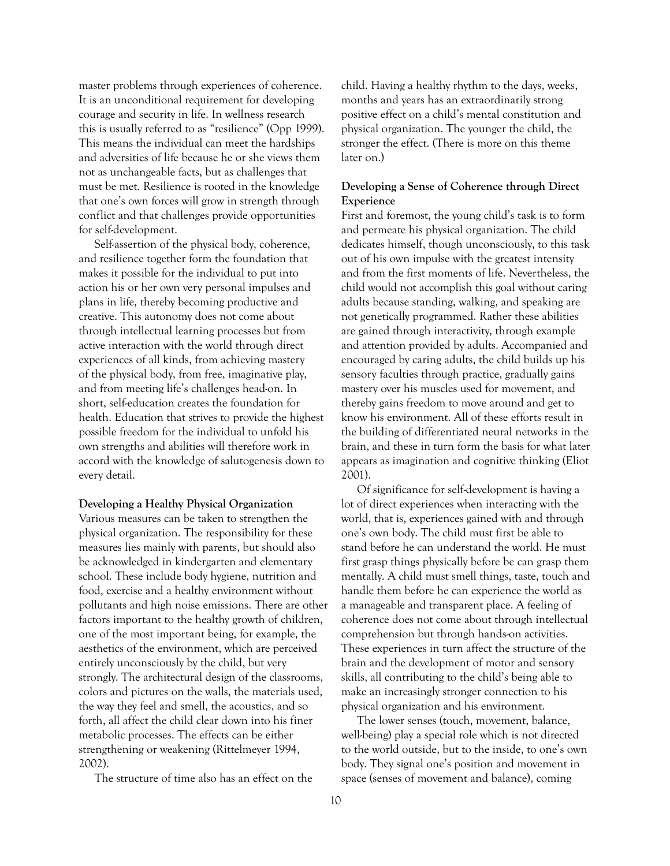master problems through experiences of coherence. It is an unconditional requirement for developing courage and security in life. In wellness research this is usually referred to as "resilience" (Opp 1999). This means the individual can meet the hardships and adversities of life because he or she views them not as unchangeable facts, but as challenges that must be met. Resilience is rooted in the knowledge that one's own forces will grow in strength through conflict and that challenges provide opportunities for self-development.

Self-assertion of the physical body, coherence, and resilience together form the foundation that makes it possible for the individual to put into action his or her own very personal impulses and plans in life, thereby becoming productive and creative. This autonomy does not come about through intellectual learning processes but from active interaction with the world through direct experiences of all kinds, from achieving mastery of the physical body, from free, imaginative play, and from meeting life's challenges head-on. In short, self-education creates the foundation for health. Education that strives to provide the highest possible freedom for the individual to unfold his own strengths and abilities will therefore work in accord with the knowledge of salutogenesis down to every detail.

#### **Developing a Healthy Physical Organization**

Various measures can be taken to strengthen the physical organization. The responsibility for these measures lies mainly with parents, but should also be acknowledged in kindergarten and elementary school. These include body hygiene, nutrition and food, exercise and a healthy environment without pollutants and high noise emissions. There are other factors important to the healthy growth of children, one of the most important being, for example, the aesthetics of the environment, which are perceived entirely unconsciously by the child, but very strongly. The architectural design of the classrooms, colors and pictures on the walls, the materials used, the way they feel and smell, the acoustics, and so forth, all affect the child clear down into his finer metabolic processes. The effects can be either strengthening or weakening (Rittelmeyer 1994, 2002).

The structure of time also has an effect on the

child. Having a healthy rhythm to the days, weeks, months and years has an extraordinarily strong positive effect on a child's mental constitution and physical organization. The younger the child, the stronger the effect. (There is more on this theme later on.)

## **Developing a Sense of Coherence through Direct Experience**

First and foremost, the young child's task is to form and permeate his physical organization. The child dedicates himself, though unconsciously, to this task out of his own impulse with the greatest intensity and from the first moments of life. Nevertheless, the child would not accomplish this goal without caring adults because standing, walking, and speaking are not genetically programmed. Rather these abilities are gained through interactivity, through example and attention provided by adults. Accompanied and encouraged by caring adults, the child builds up his sensory faculties through practice, gradually gains mastery over his muscles used for movement, and thereby gains freedom to move around and get to know his environment. All of these efforts result in the building of differentiated neural networks in the brain, and these in turn form the basis for what later appears as imagination and cognitive thinking (Eliot 2001).

Of significance for self-development is having a lot of direct experiences when interacting with the world, that is, experiences gained with and through one's own body. The child must first be able to stand before he can understand the world. He must first grasp things physically before be can grasp them mentally. A child must smell things, taste, touch and handle them before he can experience the world as a manageable and transparent place. A feeling of coherence does not come about through intellectual comprehension but through hands-on activities. These experiences in turn affect the structure of the brain and the development of motor and sensory skills, all contributing to the child's being able to make an increasingly stronger connection to his physical organization and his environment.

The lower senses (touch, movement, balance, well-being) play a special role which is not directed to the world outside, but to the inside, to one's own body. They signal one's position and movement in space (senses of movement and balance), coming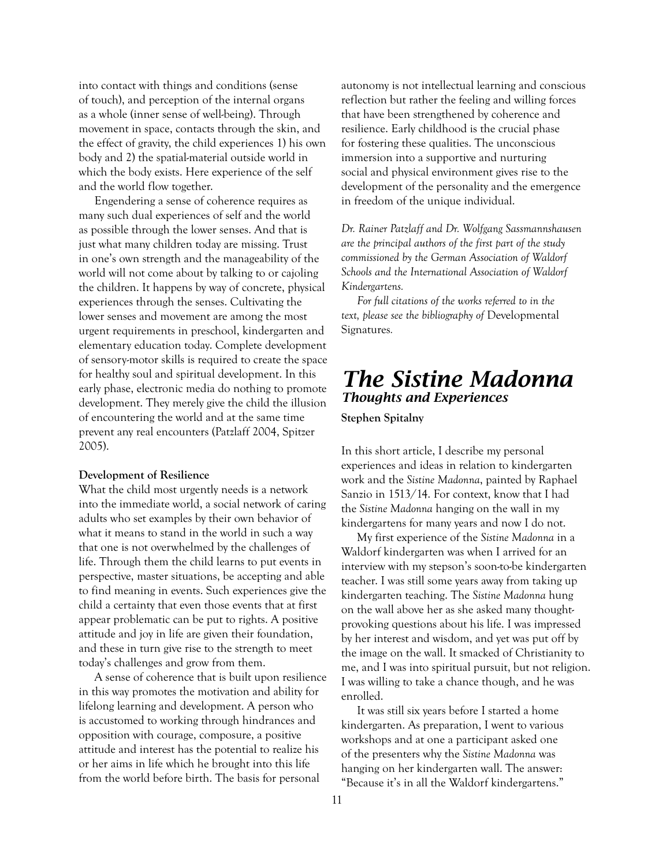into contact with things and conditions (sense of touch), and perception of the internal organs as a whole (inner sense of well-being). Through movement in space, contacts through the skin, and the effect of gravity, the child experiences 1) his own body and 2) the spatial-material outside world in which the body exists. Here experience of the self and the world flow together.

Engendering a sense of coherence requires as many such dual experiences of self and the world as possible through the lower senses. And that is just what many children today are missing. Trust in one's own strength and the manageability of the world will not come about by talking to or cajoling the children. It happens by way of concrete, physical experiences through the senses. Cultivating the lower senses and movement are among the most urgent requirements in preschool, kindergarten and elementary education today. Complete development of sensory-motor skills is required to create the space for healthy soul and spiritual development. In this early phase, electronic media do nothing to promote development. They merely give the child the illusion of encountering the world and at the same time prevent any real encounters (Patzlaff 2004, Spitzer 2005).

#### **Development of Resilience**

What the child most urgently needs is a network into the immediate world, a social network of caring adults who set examples by their own behavior of what it means to stand in the world in such a way that one is not overwhelmed by the challenges of life. Through them the child learns to put events in perspective, master situations, be accepting and able to find meaning in events. Such experiences give the child a certainty that even those events that at first appear problematic can be put to rights. A positive attitude and joy in life are given their foundation, and these in turn give rise to the strength to meet today's challenges and grow from them.

A sense of coherence that is built upon resilience in this way promotes the motivation and ability for lifelong learning and development. A person who is accustomed to working through hindrances and opposition with courage, composure, a positive attitude and interest has the potential to realize his or her aims in life which he brought into this life from the world before birth. The basis for personal

autonomy is not intellectual learning and conscious reflection but rather the feeling and willing forces that have been strengthened by coherence and resilience. Early childhood is the crucial phase for fostering these qualities. The unconscious immersion into a supportive and nurturing social and physical environment gives rise to the development of the personality and the emergence in freedom of the unique individual.

*Dr. Rainer Patzlaff and Dr. Wolfgang Sassmannshausen are the principal authors of the first part of the study commissioned by the German Association of Waldorf Schools and the International Association of Waldorf Kindergartens.*

*For full citations of the works referred to in the text, please see the bibliography of* Developmental Signatures*.*

# *The Sistine Madonna Thoughts and Experiences*

**Stephen Spitalny**

In this short article, I describe my personal experiences and ideas in relation to kindergarten work and the *Sistine Madonna*, painted by Raphael Sanzio in 1513/14. For context, know that I had the *Sistine Madonna* hanging on the wall in my kindergartens for many years and now I do not.

My first experience of the *Sistine Madonna* in a Waldorf kindergarten was when I arrived for an interview with my stepson's soon-to-be kindergarten teacher. I was still some years away from taking up kindergarten teaching. The *Sistine Madonna* hung on the wall above her as she asked many thoughtprovoking questions about his life. I was impressed by her interest and wisdom, and yet was put off by the image on the wall. It smacked of Christianity to me, and I was into spiritual pursuit, but not religion. I was willing to take a chance though, and he was enrolled.

It was still six years before I started a home kindergarten. As preparation, I went to various workshops and at one a participant asked one of the presenters why the *Sistine Madonna* was hanging on her kindergarten wall. The answer: "Because it's in all the Waldorf kindergartens."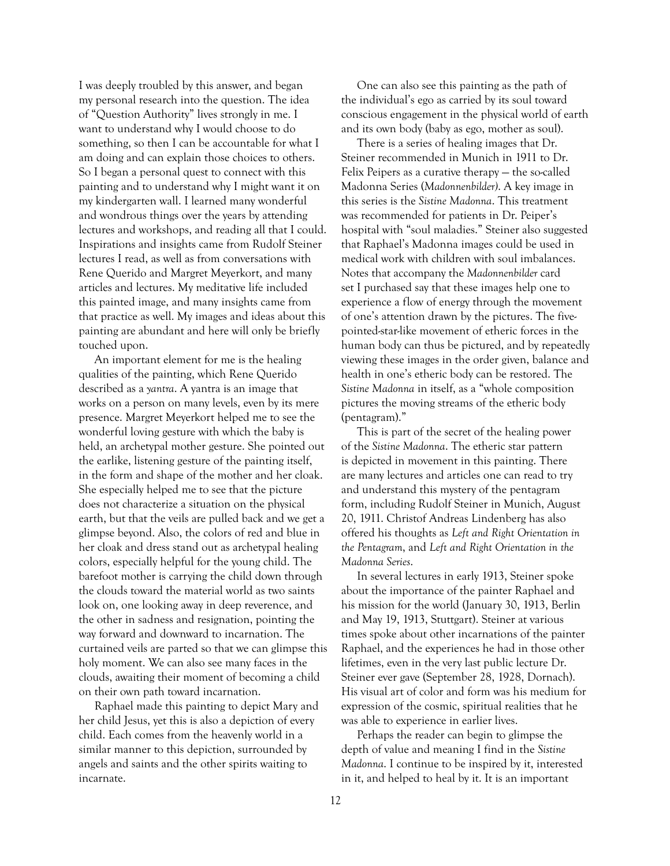I was deeply troubled by this answer, and began my personal research into the question. The idea of "Question Authority" lives strongly in me. I want to understand why I would choose to do something, so then I can be accountable for what I am doing and can explain those choices to others. So I began a personal quest to connect with this painting and to understand why I might want it on my kindergarten wall. I learned many wonderful and wondrous things over the years by attending lectures and workshops, and reading all that I could. Inspirations and insights came from Rudolf Steiner lectures I read, as well as from conversations with Rene Querido and Margret Meyerkort, and many articles and lectures. My meditative life included this painted image, and many insights came from that practice as well. My images and ideas about this painting are abundant and here will only be briefly touched upon.

An important element for me is the healing qualities of the painting, which Rene Querido described as a *yantra*. A yantra is an image that works on a person on many levels, even by its mere presence. Margret Meyerkort helped me to see the wonderful loving gesture with which the baby is held, an archetypal mother gesture. She pointed out the earlike, listening gesture of the painting itself, in the form and shape of the mother and her cloak. She especially helped me to see that the picture does not characterize a situation on the physical earth, but that the veils are pulled back and we get a glimpse beyond. Also, the colors of red and blue in her cloak and dress stand out as archetypal healing colors, especially helpful for the young child. The barefoot mother is carrying the child down through the clouds toward the material world as two saints look on, one looking away in deep reverence, and the other in sadness and resignation, pointing the way forward and downward to incarnation. The curtained veils are parted so that we can glimpse this holy moment. We can also see many faces in the clouds, awaiting their moment of becoming a child on their own path toward incarnation.

Raphael made this painting to depict Mary and her child Jesus, yet this is also a depiction of every child. Each comes from the heavenly world in a similar manner to this depiction, surrounded by angels and saints and the other spirits waiting to incarnate.

One can also see this painting as the path of the individual's ego as carried by its soul toward conscious engagement in the physical world of earth and its own body (baby as ego, mother as soul).

There is a series of healing images that Dr. Steiner recommended in Munich in 1911 to Dr. Felix Peipers as a curative therapy — the so-called Madonna Series (*Madonnenbilder)*. A key image in this series is the *Sistine Madonna*. This treatment was recommended for patients in Dr. Peiper's hospital with "soul maladies." Steiner also suggested that Raphael's Madonna images could be used in medical work with children with soul imbalances. Notes that accompany the *Madonnenbilder* card set I purchased say that these images help one to experience a flow of energy through the movement of one's attention drawn by the pictures. The fivepointed-star-like movement of etheric forces in the human body can thus be pictured, and by repeatedly viewing these images in the order given, balance and health in one's etheric body can be restored. The *Sistine Madonna* in itself, as a "whole composition pictures the moving streams of the etheric body (pentagram)."

This is part of the secret of the healing power of the *Sistine Madonna*. The etheric star pattern is depicted in movement in this painting. There are many lectures and articles one can read to try and understand this mystery of the pentagram form, including Rudolf Steiner in Munich, August 20, 1911. Christof Andreas Lindenberg has also offered his thoughts as *Left and Right Orientation in the Pentagram*, and *Left and Right Orientation in the Madonna Series*.

In several lectures in early 1913, Steiner spoke about the importance of the painter Raphael and his mission for the world (January 30, 1913, Berlin and May 19, 1913, Stuttgart). Steiner at various times spoke about other incarnations of the painter Raphael, and the experiences he had in those other lifetimes, even in the very last public lecture Dr. Steiner ever gave (September 28, 1928, Dornach). His visual art of color and form was his medium for expression of the cosmic, spiritual realities that he was able to experience in earlier lives.

Perhaps the reader can begin to glimpse the depth of value and meaning I find in the *Sistine Madonna*. I continue to be inspired by it, interested in it, and helped to heal by it. It is an important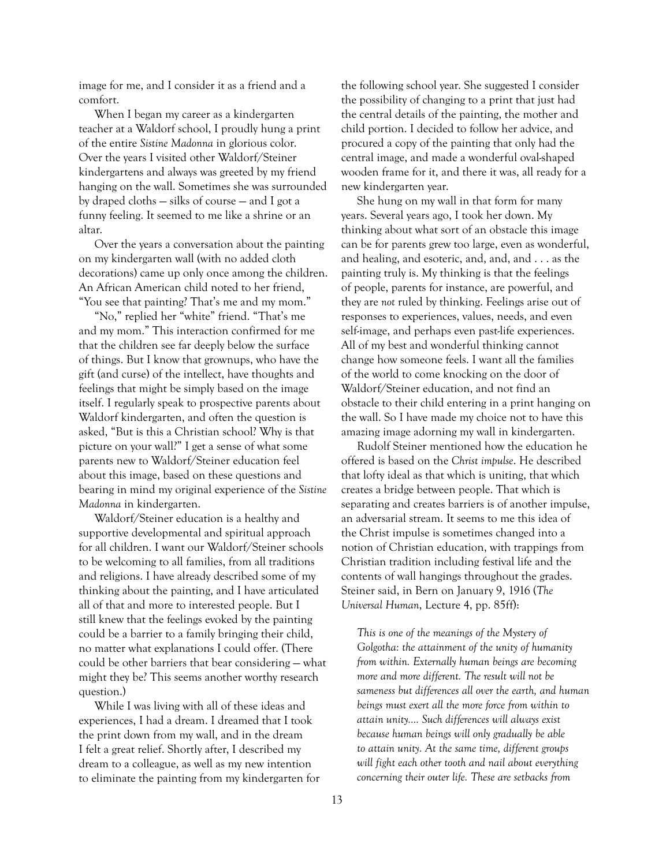image for me, and I consider it as a friend and a comfort.

When I began my career as a kindergarten teacher at a Waldorf school, I proudly hung a print of the entire *Sistine Madonna* in glorious color. Over the years I visited other Waldorf/Steiner kindergartens and always was greeted by my friend hanging on the wall. Sometimes she was surrounded by draped cloths — silks of course — and I got a funny feeling. It seemed to me like a shrine or an altar.

Over the years a conversation about the painting on my kindergarten wall (with no added cloth decorations) came up only once among the children. An African American child noted to her friend, "You see that painting? That's me and my mom."

"No," replied her "white" friend. "That's me and my mom." This interaction confirmed for me that the children see far deeply below the surface of things. But I know that grownups, who have the gift (and curse) of the intellect, have thoughts and feelings that might be simply based on the image itself. I regularly speak to prospective parents about Waldorf kindergarten, and often the question is asked, "But is this a Christian school? Why is that picture on your wall?" I get a sense of what some parents new to Waldorf/Steiner education feel about this image, based on these questions and bearing in mind my original experience of the *Sistine Madonna* in kindergarten.

Waldorf/Steiner education is a healthy and supportive developmental and spiritual approach for all children. I want our Waldorf/Steiner schools to be welcoming to all families, from all traditions and religions. I have already described some of my thinking about the painting, and I have articulated all of that and more to interested people. But I still knew that the feelings evoked by the painting could be a barrier to a family bringing their child, no matter what explanations I could offer. (There could be other barriers that bear considering — what might they be? This seems another worthy research question.)

While I was living with all of these ideas and experiences, I had a dream. I dreamed that I took the print down from my wall, and in the dream I felt a great relief. Shortly after, I described my dream to a colleague, as well as my new intention to eliminate the painting from my kindergarten for the following school year. She suggested I consider the possibility of changing to a print that just had the central details of the painting, the mother and child portion. I decided to follow her advice, and procured a copy of the painting that only had the central image, and made a wonderful oval-shaped wooden frame for it, and there it was, all ready for a new kindergarten year.

She hung on my wall in that form for many years. Several years ago, I took her down. My thinking about what sort of an obstacle this image can be for parents grew too large, even as wonderful, and healing, and esoteric, and, and, and . . . as the painting truly is. My thinking is that the feelings of people, parents for instance, are powerful, and they are *not* ruled by thinking. Feelings arise out of responses to experiences, values, needs, and even self-image, and perhaps even past-life experiences. All of my best and wonderful thinking cannot change how someone feels. I want all the families of the world to come knocking on the door of Waldorf/Steiner education, and not find an obstacle to their child entering in a print hanging on the wall. So I have made my choice not to have this amazing image adorning my wall in kindergarten.

Rudolf Steiner mentioned how the education he offered is based on the *Christ impulse*. He described that lofty ideal as that which is uniting, that which creates a bridge between people. That which is separating and creates barriers is of another impulse, an adversarial stream. It seems to me this idea of the Christ impulse is sometimes changed into a notion of Christian education, with trappings from Christian tradition including festival life and the contents of wall hangings throughout the grades. Steiner said, in Bern on January 9, 1916 (*The Universal Human*, Lecture 4, pp. 85ff):

*This is one of the meanings of the Mystery of Golgotha: the attainment of the unity of humanity from within. Externally human beings are becoming more and more different. The result will not be sameness but differences all over the earth, and human beings must exert all the more force from within to attain unity.... Such differences will always exist because human beings will only gradually be able to attain unity. At the same time, different groups will fight each other tooth and nail about everything concerning their outer life. These are setbacks from*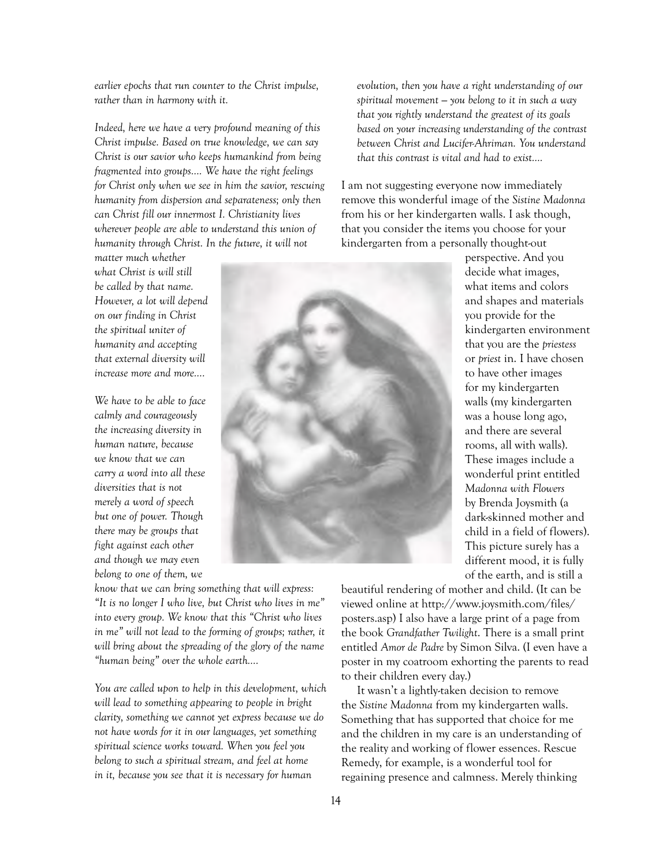*earlier epochs that run counter to the Christ impulse, rather than in harmony with it.*

*Indeed, here we have a very profound meaning of this Christ impulse. Based on true knowledge, we can say Christ is our savior who keeps humankind from being fragmented into groups…. We have the right feelings for Christ only when we see in him the savior, rescuing humanity from dispersion and separateness; only then can Christ fill our innermost I. Christianity lives wherever people are able to understand this union of humanity through Christ. In the future, it will not* 

*matter much whether what Christ is will still be called by that name. However, a lot will depend on our finding in Christ the spiritual uniter of humanity and accepting that external diversity will increase more and more….*

*We have to be able to face calmly and courageously the increasing diversity in human nature, because we know that we can carry a word into all these diversities that is not merely a word of speech but one of power. Though there may be groups that fight against each other and though we may even belong to one of them, we* 

*evolution, then you have a right understanding of our spiritual movement — you belong to it in such a way that you rightly understand the greatest of its goals based on your increasing understanding of the contrast between Christ and Lucifer-Ahriman. You understand that this contrast is vital and had to exist….*

I am not suggesting everyone now immediately remove this wonderful image of the *Sistine Madonna* from his or her kindergarten walls. I ask though, that you consider the items you choose for your kindergarten from a personally thought-out

> perspective. And you decide what images, what items and colors and shapes and materials you provide for the kindergarten environment that you are the *priestess* or *priest* in. I have chosen to have other images for my kindergarten walls (my kindergarten was a house long ago, and there are several rooms, all with walls). These images include a wonderful print entitled *Madonna with Flowers* by Brenda Joysmith (a dark-skinned mother and child in a field of flowers). This picture surely has a different mood, it is fully of the earth, and is still a

*know that we can bring something that will express: "It is no longer I who live, but Christ who lives in me" into every group. We know that this "Christ who lives in me" will not lead to the forming of groups; rather, it will bring about the spreading of the glory of the name "human being" over the whole earth….*

*You are called upon to help in this development, which will lead to something appearing to people in bright clarity, something we cannot yet express because we do not have words for it in our languages, yet something spiritual science works toward. When you feel you belong to such a spiritual stream, and feel at home in it, because you see that it is necessary for human* 

beautiful rendering of mother and child. (It can be viewed online at http://www.joysmith.com/files/ posters.asp) I also have a large print of a page from the book *Grandfather Twilight*. There is a small print entitled *Amor de Padre* by Simon Silva. (I even have a poster in my coatroom exhorting the parents to read to their children every day.)

It wasn't a lightly-taken decision to remove the *Sistine Madonna* from my kindergarten walls. Something that has supported that choice for me and the children in my care is an understanding of the reality and working of flower essences. Rescue Remedy, for example, is a wonderful tool for regaining presence and calmness. Merely thinking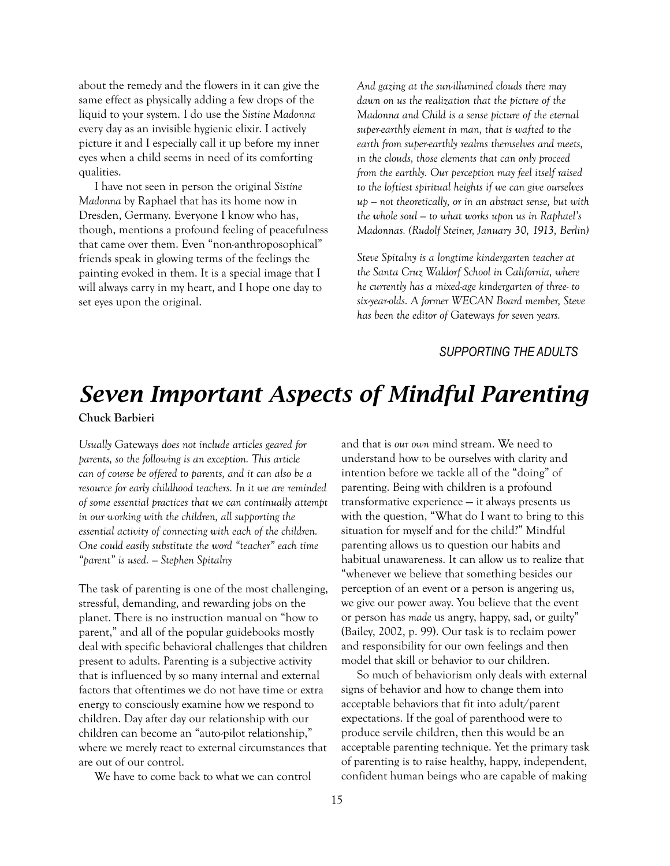about the remedy and the flowers in it can give the same effect as physically adding a few drops of the liquid to your system. I do use the *Sistine Madonna* every day as an invisible hygienic elixir. I actively picture it and I especially call it up before my inner eyes when a child seems in need of its comforting qualities.

I have not seen in person the original *Sistine Madonna* by Raphael that has its home now in Dresden, Germany. Everyone I know who has, though, mentions a profound feeling of peacefulness that came over them. Even "non-anthroposophical" friends speak in glowing terms of the feelings the painting evoked in them. It is a special image that I will always carry in my heart, and I hope one day to set eyes upon the original.

*And gazing at the sun-illumined clouds there may dawn on us the realization that the picture of the Madonna and Child is a sense picture of the eternal super-earthly element in man, that is wafted to the earth from super-earthly realms themselves and meets, in the clouds, those elements that can only proceed from the earthly. Our perception may feel itself raised to the loftiest spiritual heights if we can give ourselves up — not theoretically, or in an abstract sense, but with the whole soul — to what works upon us in Raphael's Madonnas. (Rudolf Steiner, January 30, 1913, Berlin)*

*Steve Spitalny is a longtime kindergarten teacher at the Santa Cruz Waldorf School in California, where he currently has a mixed-age kindergarten of three- to six-year-olds. A former WECAN Board member, Steve has been the editor of* Gateways *for seven years.*

# *SUPPORTING THE ADULTS*

# *Seven Important Aspects of Mindful Parenting*

# **Chuck Barbieri**

*Usually* Gateways *does not include articles geared for parents, so the following is an exception. This article can of course be offered to parents, and it can also be a resource for early childhood teachers. In it we are reminded of some essential practices that we can continually attempt in our working with the children, all supporting the essential activity of connecting with each of the children. One could easily substitute the word "teacher" each time "parent" is used. — Stephen Spitalny*

The task of parenting is one of the most challenging, stressful, demanding, and rewarding jobs on the planet. There is no instruction manual on "how to parent," and all of the popular guidebooks mostly deal with specific behavioral challenges that children present to adults. Parenting is a subjective activity that is influenced by so many internal and external factors that oftentimes we do not have time or extra energy to consciously examine how we respond to children. Day after day our relationship with our children can become an "auto-pilot relationship," where we merely react to external circumstances that are out of our control.

We have to come back to what we can control

and that is *our own* mind stream. We need to understand how to be ourselves with clarity and intention before we tackle all of the "doing" of parenting. Being with children is a profound transformative experience — it always presents us with the question, "What do I want to bring to this situation for myself and for the child?" Mindful parenting allows us to question our habits and habitual unawareness. It can allow us to realize that "whenever we believe that something besides our perception of an event or a person is angering us, we give our power away. You believe that the event or person has *made* us angry, happy, sad, or guilty" (Bailey, 2002, p. 99). Our task is to reclaim power and responsibility for our own feelings and then model that skill or behavior to our children.

So much of behaviorism only deals with external signs of behavior and how to change them into acceptable behaviors that fit into adult/parent expectations. If the goal of parenthood were to produce servile children, then this would be an acceptable parenting technique. Yet the primary task of parenting is to raise healthy, happy, independent, confident human beings who are capable of making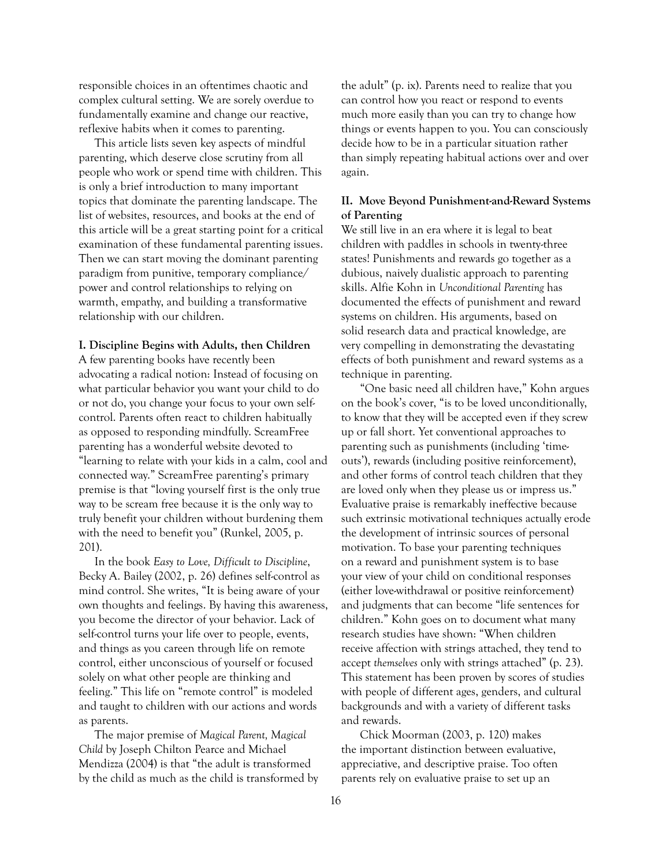responsible choices in an oftentimes chaotic and complex cultural setting. We are sorely overdue to fundamentally examine and change our reactive, reflexive habits when it comes to parenting.

This article lists seven key aspects of mindful parenting, which deserve close scrutiny from all people who work or spend time with children. This is only a brief introduction to many important topics that dominate the parenting landscape. The list of websites, resources, and books at the end of this article will be a great starting point for a critical examination of these fundamental parenting issues. Then we can start moving the dominant parenting paradigm from punitive, temporary compliance/ power and control relationships to relying on warmth, empathy, and building a transformative relationship with our children.

#### **I. Discipline Begins with Adults, then Children**

A few parenting books have recently been advocating a radical notion: Instead of focusing on what particular behavior you want your child to do or not do, you change your focus to your own selfcontrol. Parents often react to children habitually as opposed to responding mindfully. ScreamFree parenting has a wonderful website devoted to "learning to relate with your kids in a calm, cool and connected way." ScreamFree parenting's primary premise is that "loving yourself first is the only true way to be scream free because it is the only way to truly benefit your children without burdening them with the need to benefit you" (Runkel, 2005, p. 201).

In the book *Easy to Love, Difficult to Discipline*, Becky A. Bailey (2002, p. 26) defines self-control as mind control. She writes, "It is being aware of your own thoughts and feelings. By having this awareness, you become the director of your behavior. Lack of self-control turns your life over to people, events, and things as you careen through life on remote control, either unconscious of yourself or focused solely on what other people are thinking and feeling." This life on "remote control" is modeled and taught to children with our actions and words as parents.

The major premise of *Magical Parent, Magical Child* by Joseph Chilton Pearce and Michael Mendizza (2004) is that "the adult is transformed by the child as much as the child is transformed by the adult" (p. ix). Parents need to realize that you can control how you react or respond to events much more easily than you can try to change how things or events happen to you. You can consciously decide how to be in a particular situation rather than simply repeating habitual actions over and over again.

### **II. Move Beyond Punishment-and-Reward Systems of Parenting**

We still live in an era where it is legal to beat children with paddles in schools in twenty-three states! Punishments and rewards go together as a dubious, naively dualistic approach to parenting skills. Alfie Kohn in *Unconditional Parenting* has documented the effects of punishment and reward systems on children. His arguments, based on solid research data and practical knowledge, are very compelling in demonstrating the devastating effects of both punishment and reward systems as a technique in parenting.

 "One basic need all children have," Kohn argues on the book's cover, "is to be loved unconditionally, to know that they will be accepted even if they screw up or fall short. Yet conventional approaches to parenting such as punishments (including 'timeouts'), rewards (including positive reinforcement), and other forms of control teach children that they are loved only when they please us or impress us." Evaluative praise is remarkably ineffective because such extrinsic motivational techniques actually erode the development of intrinsic sources of personal motivation. To base your parenting techniques on a reward and punishment system is to base your view of your child on conditional responses (either love-withdrawal or positive reinforcement) and judgments that can become "life sentences for children." Kohn goes on to document what many research studies have shown: "When children receive affection with strings attached, they tend to accept *themselves* only with strings attached" (p. 23). This statement has been proven by scores of studies with people of different ages, genders, and cultural backgrounds and with a variety of different tasks and rewards.

 Chick Moorman (2003, p. 120) makes the important distinction between evaluative, appreciative, and descriptive praise. Too often parents rely on evaluative praise to set up an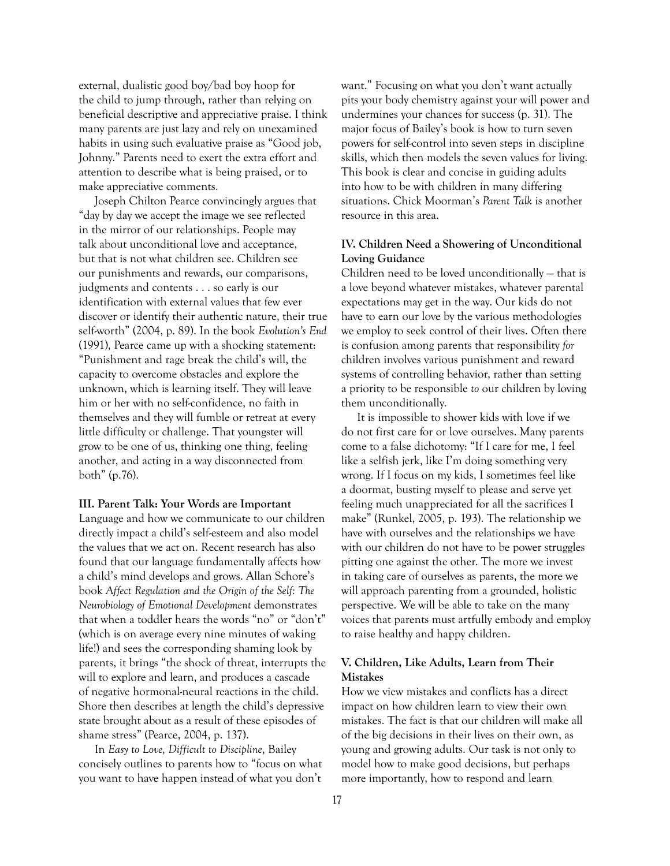external, dualistic good boy/bad boy hoop for the child to jump through, rather than relying on beneficial descriptive and appreciative praise. I think many parents are just lazy and rely on unexamined habits in using such evaluative praise as "Good job, Johnny." Parents need to exert the extra effort and attention to describe what is being praised, or to make appreciative comments.

Joseph Chilton Pearce convincingly argues that "day by day we accept the image we see reflected in the mirror of our relationships. People may talk about unconditional love and acceptance, but that is not what children see. Children see our punishments and rewards, our comparisons, judgments and contents . . . so early is our identification with external values that few ever discover or identify their authentic nature, their true self-worth" (2004, p. 89). In the book *Evolution's End* (1991)*,* Pearce came up with a shocking statement: "Punishment and rage break the child's will, the capacity to overcome obstacles and explore the unknown, which is learning itself. They will leave him or her with no self-confidence, no faith in themselves and they will fumble or retreat at every little difficulty or challenge. That youngster will grow to be one of us, thinking one thing, feeling another, and acting in a way disconnected from both" (p.76).

#### **III. Parent Talk: Your Words are Important**

Language and how we communicate to our children directly impact a child's self-esteem and also model the values that we act on. Recent research has also found that our language fundamentally affects how a child's mind develops and grows. Allan Schore's book *Affect Regulation and the Origin of the Self: The Neurobiology of Emotional Development* demonstrates that when a toddler hears the words "no" or "don't" (which is on average every nine minutes of waking life!) and sees the corresponding shaming look by parents, it brings "the shock of threat, interrupts the will to explore and learn, and produces a cascade of negative hormonal-neural reactions in the child. Shore then describes at length the child's depressive state brought about as a result of these episodes of shame stress" (Pearce, 2004, p. 137).

In *Easy to Love, Difficult to Discipline*, Bailey concisely outlines to parents how to "focus on what you want to have happen instead of what you don't

want." Focusing on what you don't want actually pits your body chemistry against your will power and undermines your chances for success (p. 31). The major focus of Bailey's book is how to turn seven powers for self-control into seven steps in discipline skills, which then models the seven values for living. This book is clear and concise in guiding adults into how to be with children in many differing situations. Chick Moorman's *Parent Talk* is another resource in this area.

### **IV. Children Need a Showering of Unconditional Loving Guidance**

Children need to be loved unconditionally — that is a love beyond whatever mistakes, whatever parental expectations may get in the way. Our kids do not have to earn our love by the various methodologies we employ to seek control of their lives. Often there is confusion among parents that responsibility *for* children involves various punishment and reward systems of controlling behavior, rather than setting a priority to be responsible *to* our children by loving them unconditionally.

It is impossible to shower kids with love if we do not first care for or love ourselves. Many parents come to a false dichotomy: "If I care for me, I feel like a selfish jerk, like I'm doing something very wrong. If I focus on my kids, I sometimes feel like a doormat, busting myself to please and serve yet feeling much unappreciated for all the sacrifices I make" (Runkel, 2005, p. 193). The relationship we have with ourselves and the relationships we have with our children do not have to be power struggles pitting one against the other. The more we invest in taking care of ourselves as parents, the more we will approach parenting from a grounded, holistic perspective. We will be able to take on the many voices that parents must artfully embody and employ to raise healthy and happy children.

### **V. Children, Like Adults, Learn from Their Mistakes**

How we view mistakes and conflicts has a direct impact on how children learn to view their own mistakes. The fact is that our children will make all of the big decisions in their lives on their own, as young and growing adults. Our task is not only to model how to make good decisions, but perhaps more importantly, how to respond and learn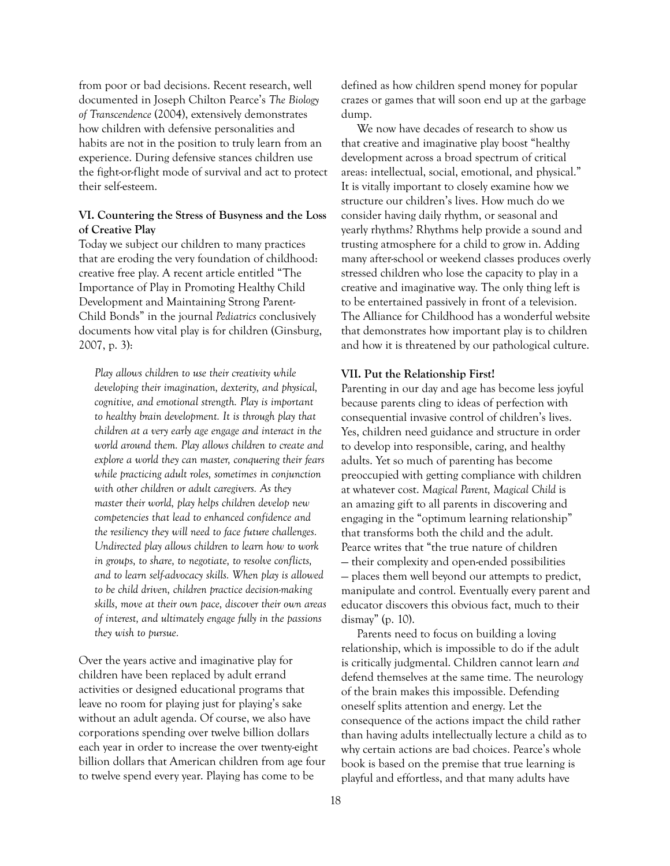from poor or bad decisions. Recent research, well documented in Joseph Chilton Pearce's *The Biology of Transcendence* (2004), extensively demonstrates how children with defensive personalities and habits are not in the position to truly learn from an experience. During defensive stances children use the fight-or-flight mode of survival and act to protect their self-esteem.

## **VI. Countering the Stress of Busyness and the Loss of Creative Play**

Today we subject our children to many practices that are eroding the very foundation of childhood: creative free play. A recent article entitled "The Importance of Play in Promoting Healthy Child Development and Maintaining Strong Parent-Child Bonds" in the journal *Pediatrics* conclusively documents how vital play is for children (Ginsburg, 2007, p. 3):

*Play allows children to use their creativity while developing their imagination, dexterity, and physical, cognitive, and emotional strength. Play is important to healthy brain development. It is through play that children at a very early age engage and interact in the world around them. Play allows children to create and explore a world they can master, conquering their fears while practicing adult roles, sometimes in conjunction with other children or adult caregivers. As they master their world, play helps children develop new competencies that lead to enhanced confidence and the resiliency they will need to face future challenges. Undirected play allows children to learn how to work in groups, to share, to negotiate, to resolve conflicts, and to learn self-advocacy skills. When play is allowed to be child driven, children practice decision-making skills, move at their own pace, discover their own areas of interest, and ultimately engage fully in the passions they wish to pursue.*

Over the years active and imaginative play for children have been replaced by adult errand activities or designed educational programs that leave no room for playing just for playing's sake without an adult agenda. Of course, we also have corporations spending over twelve billion dollars each year in order to increase the over twenty-eight billion dollars that American children from age four to twelve spend every year. Playing has come to be

defined as how children spend money for popular crazes or games that will soon end up at the garbage dump.

We now have decades of research to show us that creative and imaginative play boost "healthy development across a broad spectrum of critical areas: intellectual, social, emotional, and physical." It is vitally important to closely examine how we structure our children's lives. How much do we consider having daily rhythm, or seasonal and yearly rhythms? Rhythms help provide a sound and trusting atmosphere for a child to grow in. Adding many after-school or weekend classes produces overly stressed children who lose the capacity to play in a creative and imaginative way. The only thing left is to be entertained passively in front of a television. The Alliance for Childhood has a wonderful website that demonstrates how important play is to children and how it is threatened by our pathological culture.

#### **VII. Put the Relationship First!**

Parenting in our day and age has become less joyful because parents cling to ideas of perfection with consequential invasive control of children's lives. Yes, children need guidance and structure in order to develop into responsible, caring, and healthy adults. Yet so much of parenting has become preoccupied with getting compliance with children at whatever cost. *Magical Parent, Magical Child* is an amazing gift to all parents in discovering and engaging in the "optimum learning relationship" that transforms both the child and the adult. Pearce writes that "the true nature of children — their complexity and open-ended possibilities — places them well beyond our attempts to predict, manipulate and control. Eventually every parent and educator discovers this obvious fact, much to their dismay" (p. 10).

Parents need to focus on building a loving relationship, which is impossible to do if the adult is critically judgmental. Children cannot learn *and* defend themselves at the same time. The neurology of the brain makes this impossible. Defending oneself splits attention and energy. Let the consequence of the actions impact the child rather than having adults intellectually lecture a child as to why certain actions are bad choices. Pearce's whole book is based on the premise that true learning is playful and effortless, and that many adults have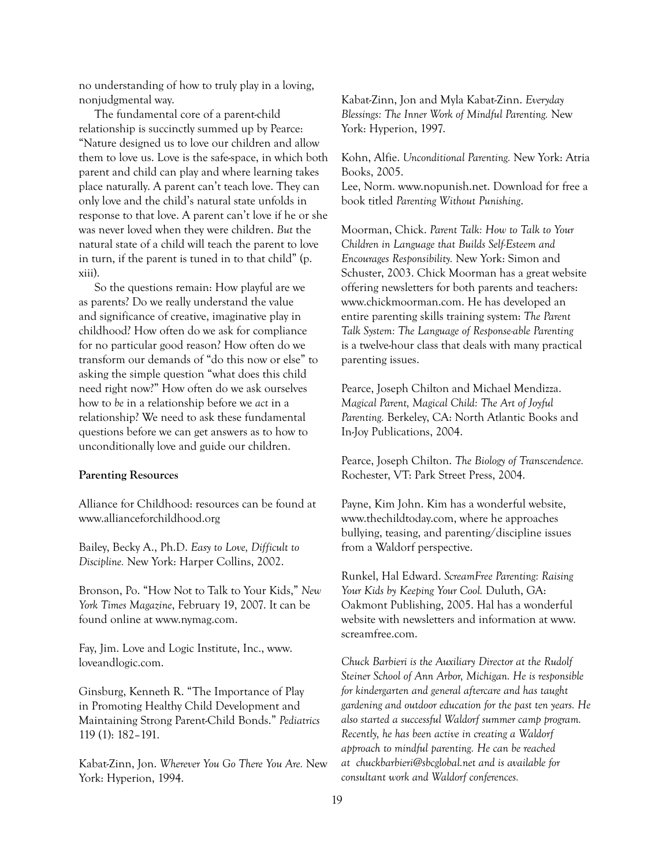no understanding of how to truly play in a loving, nonjudgmental way.

The fundamental core of a parent-child relationship is succinctly summed up by Pearce: "Nature designed us to love our children and allow them to love us. Love is the safe-space, in which both parent and child can play and where learning takes place naturally. A parent can't teach love. They can only love and the child's natural state unfolds in response to that love. A parent can't love if he or she was never loved when they were children. *But* the natural state of a child will teach the parent to love in turn, if the parent is tuned in to that child" (p. xiii).

So the questions remain: How playful are we as parents? Do we really understand the value and significance of creative, imaginative play in childhood? How often do we ask for compliance for no particular good reason? How often do we transform our demands of "do this now or else" to asking the simple question "what does this child need right now?" How often do we ask ourselves how to *be* in a relationship before we *act* in a relationship? We need to ask these fundamental questions before we can get answers as to how to unconditionally love and guide our children.

#### **Parenting Resources**

Alliance for Childhood: resources can be found at www.allianceforchildhood.org

Bailey, Becky A., Ph.D. *Easy to Love, Difficult to Discipline.* New York: Harper Collins, 2002.

Bronson, Po. "How Not to Talk to Your Kids," *New York Times Magazine*, February 19, 2007. It can be found online at www.nymag.com.

Fay, Jim. Love and Logic Institute, Inc., www. loveandlogic.com.

Ginsburg, Kenneth R. "The Importance of Play in Promoting Healthy Child Development and Maintaining Strong Parent-Child Bonds." *Pediatrics* 119 (1): 182–191.

Kabat-Zinn, Jon. *Wherever You Go There You Are.* New York: Hyperion, 1994.

Kabat-Zinn, Jon and Myla Kabat-Zinn. *Everyday Blessings: The Inner Work of Mindful Parenting.* New York: Hyperion, 1997.

Kohn, Alfie. *Unconditional Parenting.* New York: Atria Books, 2005.

Lee, Norm. www.nopunish.net. Download for free a book titled *Parenting Without Punishing*.

Moorman, Chick. *Parent Talk: How to Talk to Your Children in Language that Builds Self-Esteem and Encourages Responsibility.* New York: Simon and Schuster, 2003. Chick Moorman has a great website offering newsletters for both parents and teachers: www.chickmoorman.com. He has developed an entire parenting skills training system: *The Parent Talk System: The Language of Response-able Parenting* is a twelve-hour class that deals with many practical parenting issues.

Pearce, Joseph Chilton and Michael Mendizza. *Magical Parent, Magical Child: The Art of Joyful Parenting.* Berkeley, CA: North Atlantic Books and In-Joy Publications, 2004.

Pearce, Joseph Chilton. *The Biology of Transcendence.*  Rochester, VT: Park Street Press, 2004.

Payne, Kim John. Kim has a wonderful website, www.thechildtoday.com, where he approaches bullying, teasing, and parenting/discipline issues from a Waldorf perspective.

Runkel, Hal Edward. *ScreamFree Parenting: Raising Your Kids by Keeping Your Cool.* Duluth, GA: Oakmont Publishing, 2005. Hal has a wonderful website with newsletters and information at www. screamfree.com.

*Chuck Barbieri is the Auxiliary Director at the Rudolf Steiner School of Ann Arbor, Michigan. He is responsible for kindergarten and general aftercare and has taught gardening and outdoor education for the past ten years. He also started a successful Waldorf summer camp program. Recently, he has been active in creating a Waldorf approach to mindful parenting. He can be reached at chuckbarbieri@sbcglobal.net and is available for consultant work and Waldorf conferences.*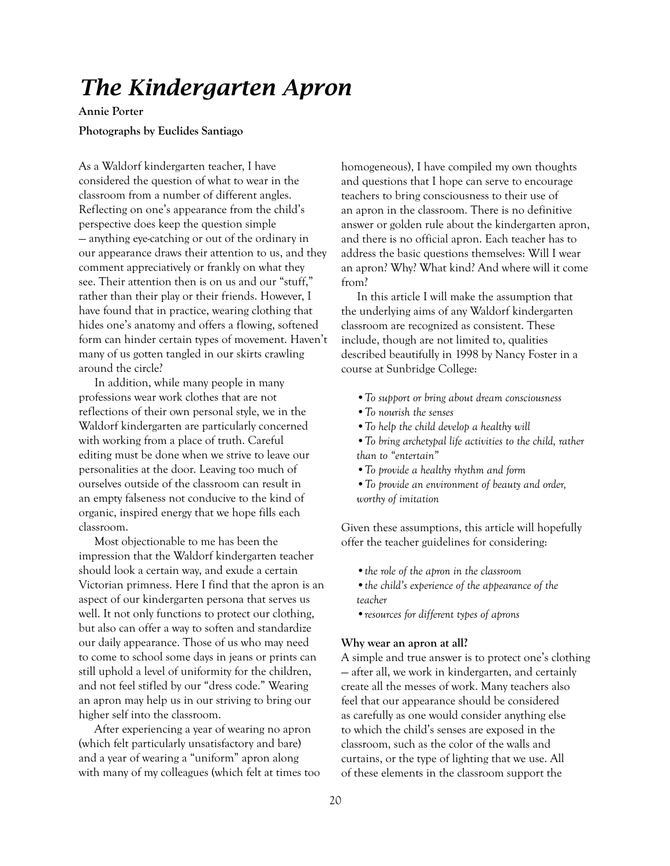# *The Kindergarten Apron*

**Annie Porter**

#### **Photographs by Euclides Santiago**

As a Waldorf kindergarten teacher, I have considered the question of what to wear in the classroom from a number of different angles. Reflecting on one's appearance from the child's perspective does keep the question simple — anything eye-catching or out of the ordinary in our appearance draws their attention to us, and they comment appreciatively or frankly on what they see. Their attention then is on us and our "stuff," rather than their play or their friends. However, I have found that in practice, wearing clothing that hides one's anatomy and offers a flowing, softened form can hinder certain types of movement. Haven't many of us gotten tangled in our skirts crawling around the circle?

In addition, while many people in many professions wear work clothes that are not reflections of their own personal style, we in the Waldorf kindergarten are particularly concerned with working from a place of truth. Careful editing must be done when we strive to leave our personalities at the door. Leaving too much of ourselves outside of the classroom can result in an empty falseness not conducive to the kind of organic, inspired energy that we hope fills each classroom.

Most objectionable to me has been the impression that the Waldorf kindergarten teacher should look a certain way, and exude a certain Victorian primness. Here I find that the apron is an aspect of our kindergarten persona that serves us well. It not only functions to protect our clothing, but also can offer a way to soften and standardize our daily appearance. Those of us who may need to come to school some days in jeans or prints can still uphold a level of uniformity for the children, and not feel stifled by our "dress code." Wearing an apron may help us in our striving to bring our higher self into the classroom.

After experiencing a year of wearing no apron (which felt particularly unsatisfactory and bare) and a year of wearing a "uniform" apron along with many of my colleagues (which felt at times too homogeneous), I have compiled my own thoughts and questions that I hope can serve to encourage teachers to bring consciousness to their use of an apron in the classroom. There is no definitive answer or golden rule about the kindergarten apron, and there is no official apron. Each teacher has to address the basic questions themselves: Will I wear an apron? Why? What kind? And where will it come from?

In this article I will make the assumption that the underlying aims of any Waldorf kindergarten classroom are recognized as consistent. These include, though are not limited to, qualities described beautifully in 1998 by Nancy Foster in a course at Sunbridge College:

- *•To support or bring about dream consciousness*
- *•To nourish the senses*
- *•To help the child develop a healthy will*
- *•To bring archetypal life activities to the child, rather than to "entertain"*
- *•To provide a healthy rhythm and form*
- *•To provide an environment of beauty and order, worthy of imitation*

Given these assumptions, this article will hopefully offer the teacher guidelines for considering:

- *•the role of the apron in the classroom*
- *•the child's experience of the appearance of the teacher*
- *•resources for different types of aprons*

#### **Why wear an apron at all?**

A simple and true answer is to protect one's clothing — after all, we work in kindergarten, and certainly create all the messes of work. Many teachers also feel that our appearance should be considered as carefully as one would consider anything else to which the child's senses are exposed in the classroom, such as the color of the walls and curtains, or the type of lighting that we use. All of these elements in the classroom support the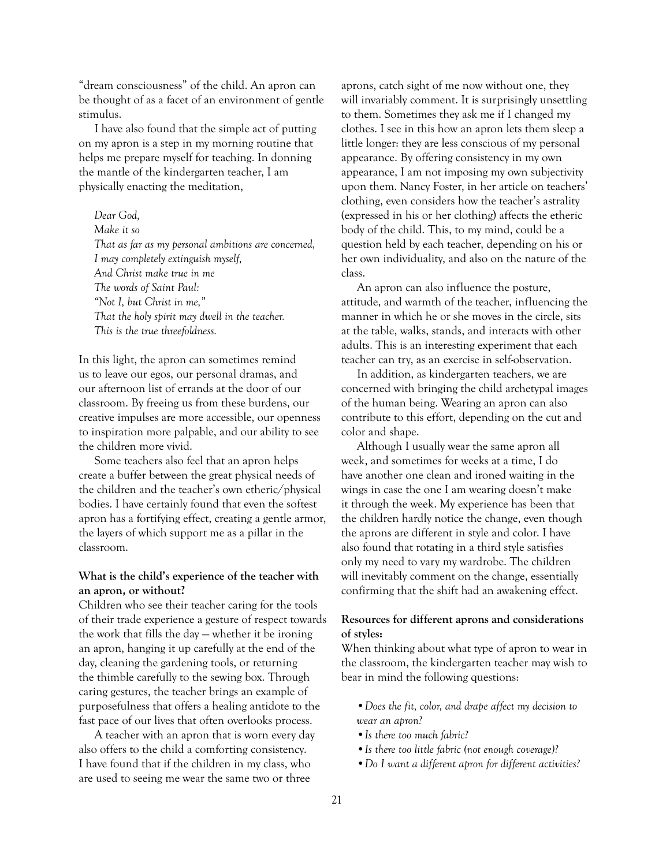"dream consciousness" of the child. An apron can be thought of as a facet of an environment of gentle stimulus.

I have also found that the simple act of putting on my apron is a step in my morning routine that helps me prepare myself for teaching. In donning the mantle of the kindergarten teacher, I am physically enacting the meditation,

*Dear God, Make it so That as far as my personal ambitions are concerned, I may completely extinguish myself, And Christ make true in me The words of Saint Paul: "Not I, but Christ in me," That the holy spirit may dwell in the teacher. This is the true threefoldness.*

In this light, the apron can sometimes remind us to leave our egos, our personal dramas, and our afternoon list of errands at the door of our classroom. By freeing us from these burdens, our creative impulses are more accessible, our openness to inspiration more palpable, and our ability to see the children more vivid.

Some teachers also feel that an apron helps create a buffer between the great physical needs of the children and the teacher's own etheric/physical bodies. I have certainly found that even the softest apron has a fortifying effect, creating a gentle armor, the layers of which support me as a pillar in the classroom.

## **What is the child's experience of the teacher with an apron, or without?**

Children who see their teacher caring for the tools of their trade experience a gesture of respect towards the work that fills the day — whether it be ironing an apron, hanging it up carefully at the end of the day, cleaning the gardening tools, or returning the thimble carefully to the sewing box. Through caring gestures, the teacher brings an example of purposefulness that offers a healing antidote to the fast pace of our lives that often overlooks process.

A teacher with an apron that is worn every day also offers to the child a comforting consistency. I have found that if the children in my class, who are used to seeing me wear the same two or three

aprons, catch sight of me now without one, they will invariably comment. It is surprisingly unsettling to them. Sometimes they ask me if I changed my clothes. I see in this how an apron lets them sleep a little longer: they are less conscious of my personal appearance. By offering consistency in my own appearance, I am not imposing my own subjectivity upon them. Nancy Foster, in her article on teachers' clothing, even considers how the teacher's astrality (expressed in his or her clothing) affects the etheric body of the child. This, to my mind, could be a question held by each teacher, depending on his or her own individuality, and also on the nature of the class.

An apron can also influence the posture, attitude, and warmth of the teacher, influencing the manner in which he or she moves in the circle, sits at the table, walks, stands, and interacts with other adults. This is an interesting experiment that each teacher can try, as an exercise in self-observation.

In addition, as kindergarten teachers, we are concerned with bringing the child archetypal images of the human being. Wearing an apron can also contribute to this effort, depending on the cut and color and shape.

Although I usually wear the same apron all week, and sometimes for weeks at a time, I do have another one clean and ironed waiting in the wings in case the one I am wearing doesn't make it through the week. My experience has been that the children hardly notice the change, even though the aprons are different in style and color. I have also found that rotating in a third style satisfies only my need to vary my wardrobe. The children will inevitably comment on the change, essentially confirming that the shift had an awakening effect.

# **Resources for different aprons and considerations of styles:**

When thinking about what type of apron to wear in the classroom, the kindergarten teacher may wish to bear in mind the following questions:

- *•Does the fit, color, and drape affect my decision to wear an apron?*
- *•Is there too much fabric?*
- *•Is there too little fabric (not enough coverage)?*
- *•Do I want a different apron for different activities?*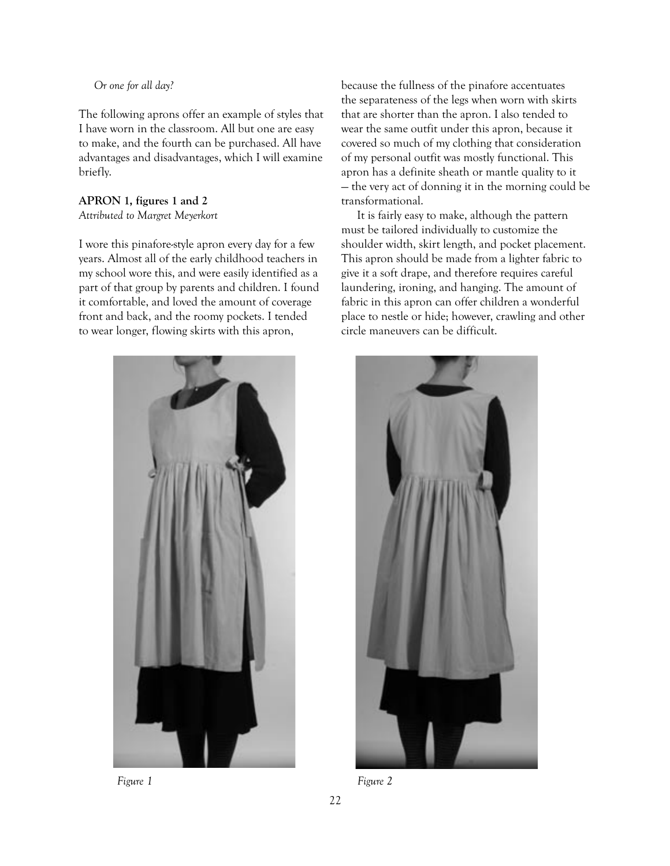## *Or one for all day?*

The following aprons offer an example of styles that I have worn in the classroom. All but one are easy to make, and the fourth can be purchased. All have advantages and disadvantages, which I will examine briefly.

#### **APRON 1, figures 1 and 2** *Attributed to Margret Meyerkort*

I wore this pinafore-style apron every day for a few years. Almost all of the early childhood teachers in my school wore this, and were easily identified as a part of that group by parents and children. I found it comfortable, and loved the amount of coverage front and back, and the roomy pockets. I tended to wear longer, flowing skirts with this apron,



because the fullness of the pinafore accentuates the separateness of the legs when worn with skirts that are shorter than the apron. I also tended to wear the same outfit under this apron, because it covered so much of my clothing that consideration of my personal outfit was mostly functional. This apron has a definite sheath or mantle quality to it — the very act of donning it in the morning could be transformational.

It is fairly easy to make, although the pattern must be tailored individually to customize the shoulder width, skirt length, and pocket placement. This apron should be made from a lighter fabric to give it a soft drape, and therefore requires careful laundering, ironing, and hanging. The amount of fabric in this apron can offer children a wonderful place to nestle or hide; however, crawling and other circle maneuvers can be difficult.



*Figure 1 Figure 2*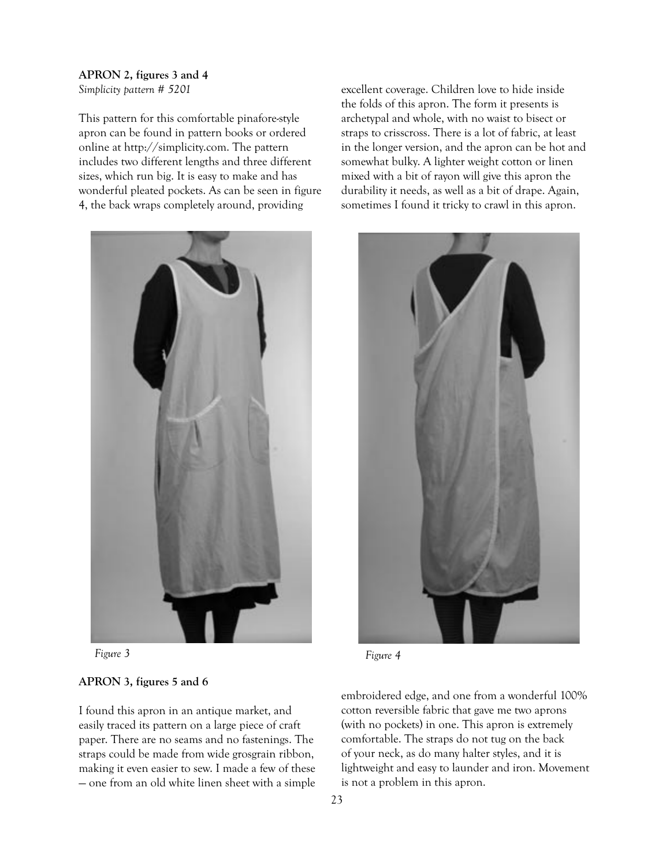# **APRON 2, figures 3 and 4**

*Simplicity pattern # 5201*

This pattern for this comfortable pinafore-style apron can be found in pattern books or ordered online at http://simplicity.com. The pattern includes two different lengths and three different sizes, which run big. It is easy to make and has wonderful pleated pockets. As can be seen in figure 4, the back wraps completely around, providing



## **APRON 3, figures 5 and 6**

I found this apron in an antique market, and easily traced its pattern on a large piece of craft paper. There are no seams and no fastenings. The straps could be made from wide grosgrain ribbon, making it even easier to sew. I made a few of these — one from an old white linen sheet with a simple excellent coverage. Children love to hide inside the folds of this apron. The form it presents is archetypal and whole, with no waist to bisect or straps to crisscross. There is a lot of fabric, at least in the longer version, and the apron can be hot and somewhat bulky. A lighter weight cotton or linen mixed with a bit of rayon will give this apron the durability it needs, as well as a bit of drape. Again, sometimes I found it tricky to crawl in this apron.



embroidered edge, and one from a wonderful 100% cotton reversible fabric that gave me two aprons (with no pockets) in one. This apron is extremely comfortable. The straps do not tug on the back of your neck, as do many halter styles, and it is lightweight and easy to launder and iron. Movement is not a problem in this apron.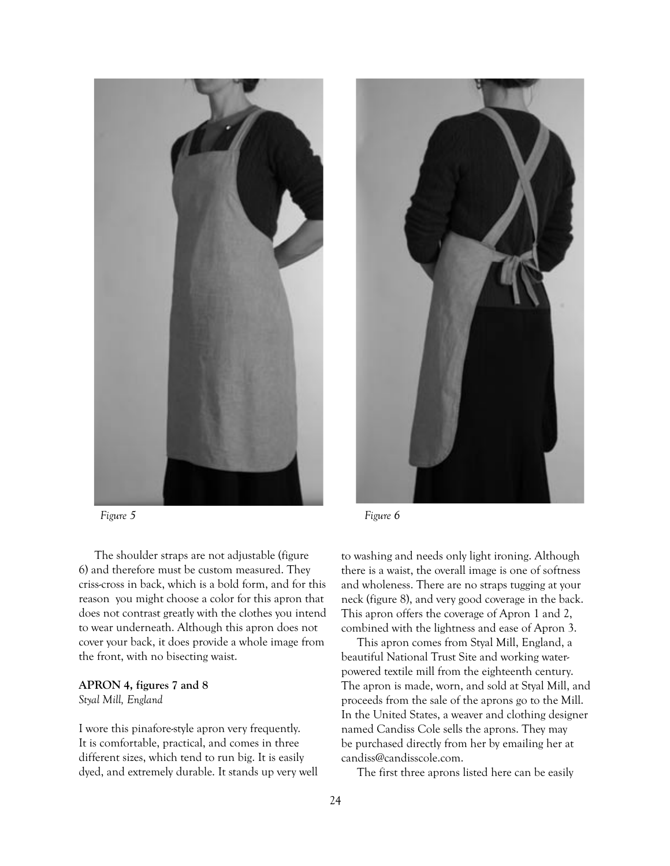

*Figure 5 Figure 6*



The shoulder straps are not adjustable (figure 6) and therefore must be custom measured. They criss-cross in back, which is a bold form, and for this reason you might choose a color for this apron that does not contrast greatly with the clothes you intend to wear underneath. Although this apron does not cover your back, it does provide a whole image from the front, with no bisecting waist.

### **APRON 4, figures 7 and 8** *Styal Mill, England*

I wore this pinafore-style apron very frequently. It is comfortable, practical, and comes in three different sizes, which tend to run big. It is easily dyed, and extremely durable. It stands up very well

to washing and needs only light ironing. Although there is a waist, the overall image is one of softness and wholeness. There are no straps tugging at your neck (figure 8), and very good coverage in the back. This apron offers the coverage of Apron 1 and 2, combined with the lightness and ease of Apron 3.

This apron comes from Styal Mill, England, a beautiful National Trust Site and working waterpowered textile mill from the eighteenth century. The apron is made, worn, and sold at Styal Mill, and proceeds from the sale of the aprons go to the Mill. In the United States, a weaver and clothing designer named Candiss Cole sells the aprons. They may be purchased directly from her by emailing her at candiss@candisscole.com.

The first three aprons listed here can be easily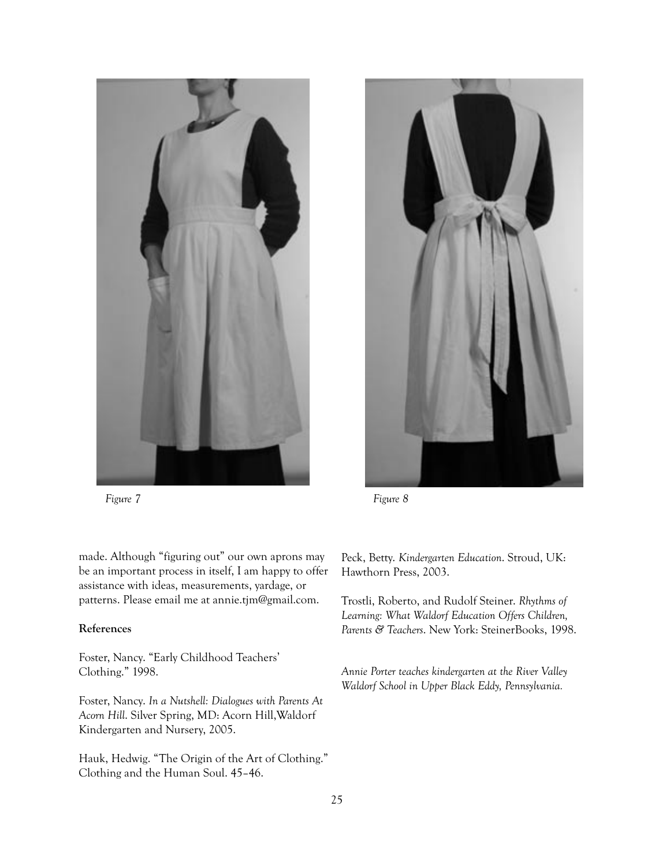



*Figure 7 Figure 8*

made. Although "figuring out" our own aprons may be an important process in itself, I am happy to offer assistance with ideas, measurements, yardage, or patterns. Please email me at annie.tjm@gmail.com.

#### **References**

Foster, Nancy. "Early Childhood Teachers' Clothing." 1998.

Foster, Nancy. *In a Nutshell: Dialogues with Parents At Acorn Hill*. Silver Spring, MD: Acorn Hill,Waldorf Kindergarten and Nursery, 2005.

Hauk, Hedwig. "The Origin of the Art of Clothing." Clothing and the Human Soul. 45–46.

Peck, Betty. *Kindergarten Education*. Stroud, UK: Hawthorn Press, 2003.

Trostli, Roberto, and Rudolf Steiner. *Rhythms of Learning: What Waldorf Education Offers Children, Parents & Teachers*. New York: SteinerBooks, 1998.

*Annie Porter teaches kindergarten at the River Valley Waldorf School in Upper Black Eddy, Pennsylvania.*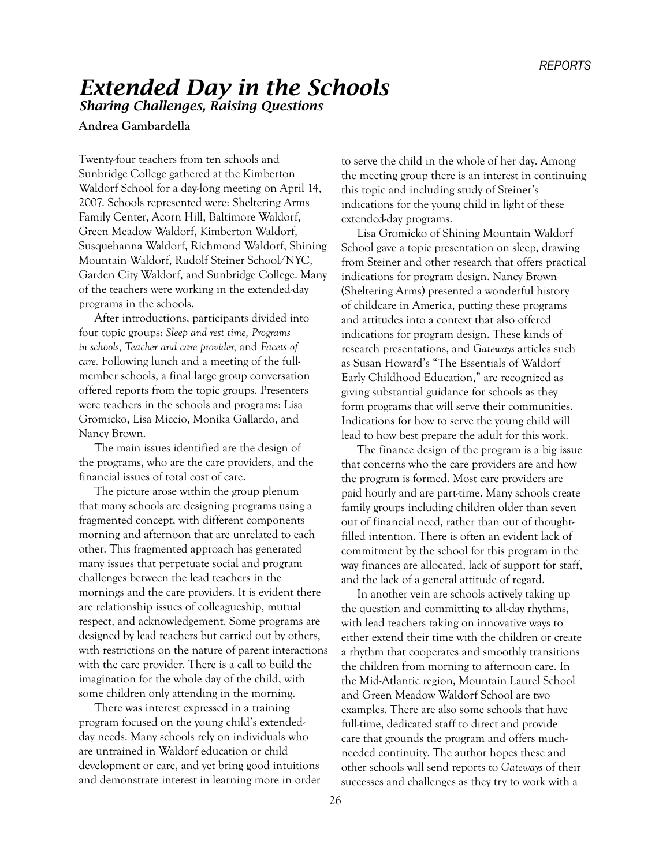# *Extended Day in the Schools*

*Sharing Challenges, Raising Questions*

## **Andrea Gambardella**

Twenty-four teachers from ten schools and Sunbridge College gathered at the Kimberton Waldorf School for a day-long meeting on April 14, 2007. Schools represented were: Sheltering Arms Family Center, Acorn Hill, Baltimore Waldorf, Green Meadow Waldorf, Kimberton Waldorf, Susquehanna Waldorf, Richmond Waldorf, Shining Mountain Waldorf, Rudolf Steiner School/NYC, Garden City Waldorf, and Sunbridge College. Many of the teachers were working in the extended-day programs in the schools.

After introductions, participants divided into four topic groups: *Sleep and rest time, Programs in schools, Teacher and care provider,* and *Facets of care.* Following lunch and a meeting of the fullmember schools, a final large group conversation offered reports from the topic groups. Presenters were teachers in the schools and programs: Lisa Gromicko, Lisa Miccio, Monika Gallardo, and Nancy Brown.

The main issues identified are the design of the programs, who are the care providers, and the financial issues of total cost of care.

The picture arose within the group plenum that many schools are designing programs using a fragmented concept, with different components morning and afternoon that are unrelated to each other. This fragmented approach has generated many issues that perpetuate social and program challenges between the lead teachers in the mornings and the care providers. It is evident there are relationship issues of colleagueship, mutual respect, and acknowledgement. Some programs are designed by lead teachers but carried out by others, with restrictions on the nature of parent interactions with the care provider. There is a call to build the imagination for the whole day of the child, with some children only attending in the morning.

There was interest expressed in a training program focused on the young child's extendedday needs. Many schools rely on individuals who are untrained in Waldorf education or child development or care, and yet bring good intuitions and demonstrate interest in learning more in order to serve the child in the whole of her day. Among the meeting group there is an interest in continuing this topic and including study of Steiner's indications for the young child in light of these extended-day programs.

Lisa Gromicko of Shining Mountain Waldorf School gave a topic presentation on sleep, drawing from Steiner and other research that offers practical indications for program design. Nancy Brown (Sheltering Arms) presented a wonderful history of childcare in America, putting these programs and attitudes into a context that also offered indications for program design. These kinds of research presentations, and *Gateways* articles such as Susan Howard's "The Essentials of Waldorf Early Childhood Education," are recognized as giving substantial guidance for schools as they form programs that will serve their communities. Indications for how to serve the young child will lead to how best prepare the adult for this work.

The finance design of the program is a big issue that concerns who the care providers are and how the program is formed. Most care providers are paid hourly and are part-time. Many schools create family groups including children older than seven out of financial need, rather than out of thoughtfilled intention. There is often an evident lack of commitment by the school for this program in the way finances are allocated, lack of support for staff, and the lack of a general attitude of regard.

In another vein are schools actively taking up the question and committing to all-day rhythms, with lead teachers taking on innovative ways to either extend their time with the children or create a rhythm that cooperates and smoothly transitions the children from morning to afternoon care. In the Mid-Atlantic region, Mountain Laurel School and Green Meadow Waldorf School are two examples. There are also some schools that have full-time, dedicated staff to direct and provide care that grounds the program and offers muchneeded continuity. The author hopes these and other schools will send reports to *Gateways* of their successes and challenges as they try to work with a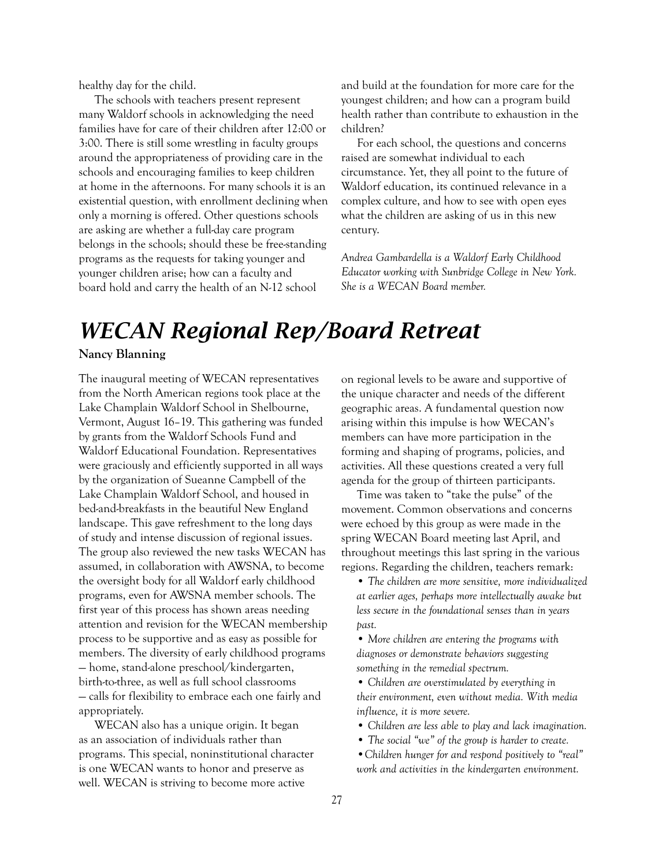healthy day for the child.

The schools with teachers present represent many Waldorf schools in acknowledging the need families have for care of their children after 12:00 or 3:00. There is still some wrestling in faculty groups around the appropriateness of providing care in the schools and encouraging families to keep children at home in the afternoons. For many schools it is an existential question, with enrollment declining when only a morning is offered. Other questions schools are asking are whether a full-day care program belongs in the schools; should these be free-standing programs as the requests for taking younger and younger children arise; how can a faculty and board hold and carry the health of an N-12 school

and build at the foundation for more care for the youngest children; and how can a program build health rather than contribute to exhaustion in the children?

For each school, the questions and concerns raised are somewhat individual to each circumstance. Yet, they all point to the future of Waldorf education, its continued relevance in a complex culture, and how to see with open eyes what the children are asking of us in this new century.

*Andrea Gambardella is a Waldorf Early Childhood Educator working with Sunbridge College in New York. She is a WECAN Board member.*

# *WECAN Regional Rep/Board Retreat*

## **Nancy Blanning**

The inaugural meeting of WECAN representatives from the North American regions took place at the Lake Champlain Waldorf School in Shelbourne, Vermont, August 16–19. This gathering was funded by grants from the Waldorf Schools Fund and Waldorf Educational Foundation. Representatives were graciously and efficiently supported in all ways by the organization of Sueanne Campbell of the Lake Champlain Waldorf School, and housed in bed-and-breakfasts in the beautiful New England landscape. This gave refreshment to the long days of study and intense discussion of regional issues. The group also reviewed the new tasks WECAN has assumed, in collaboration with AWSNA, to become the oversight body for all Waldorf early childhood programs, even for AWSNA member schools. The first year of this process has shown areas needing attention and revision for the WECAN membership process to be supportive and as easy as possible for members. The diversity of early childhood programs — home, stand-alone preschool/kindergarten, birth-to-three, as well as full school classrooms — calls for flexibility to embrace each one fairly and appropriately.

WECAN also has a unique origin. It began as an association of individuals rather than programs. This special, noninstitutional character is one WECAN wants to honor and preserve as well. WECAN is striving to become more active

on regional levels to be aware and supportive of the unique character and needs of the different geographic areas. A fundamental question now arising within this impulse is how WECAN's members can have more participation in the forming and shaping of programs, policies, and activities. All these questions created a very full agenda for the group of thirteen participants.

Time was taken to "take the pulse" of the movement. Common observations and concerns were echoed by this group as were made in the spring WECAN Board meeting last April, and throughout meetings this last spring in the various regions. Regarding the children, teachers remark:

*• The children are more sensitive, more individualized at earlier ages, perhaps more intellectually awake but less secure in the foundational senses than in years past.*

*• More children are entering the programs with diagnoses or demonstrate behaviors suggesting something in the remedial spectrum.* 

*• Children are overstimulated by everything in their environment, even without media. With media influence, it is more severe.*

*• Children are less able to play and lack imagination.*

*• The social "we" of the group is harder to create.*

*•Children hunger for and respond positively to "real" work and activities in the kindergarten environment.*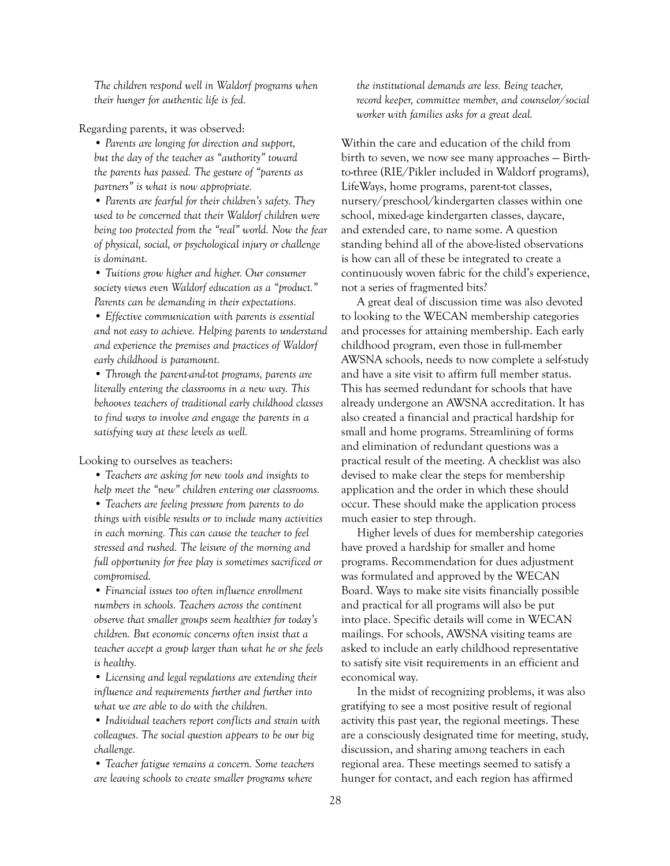*The children respond well in Waldorf programs when their hunger for authentic life is fed.*

Regarding parents, it was observed:

*• Parents are longing for direction and support, but the day of the teacher as "authority" toward the parents has passed. The gesture of "parents as partners" is what is now appropriate.*

*• Parents are fearful for their children's safety. They used to be concerned that their Waldorf children were being too protected from the "real" world. Now the fear of physical, social, or psychological injury or challenge is dominant.*

*• Tuitions grow higher and higher. Our consumer society views even Waldorf education as a "product." Parents can be demanding in their expectations.*

*• Effective communication with parents is essential and not easy to achieve. Helping parents to understand and experience the premises and practices of Waldorf early childhood is paramount.*

*• Through the parent-and-tot programs, parents are literally entering the classrooms in a new way. This behooves teachers of traditional early childhood classes to find ways to involve and engage the parents in a satisfying way at these levels as well.*

Looking to ourselves as teachers:

*• Teachers are asking for new tools and insights to help meet the "new" children entering our classrooms.* 

*• Teachers are feeling pressure from parents to do things with visible results or to include many activities in each morning. This can cause the teacher to feel stressed and rushed. The leisure of the morning and full opportunity for free play is sometimes sacrificed or compromised.*

*• Financial issues too often influence enrollment numbers in schools. Teachers across the continent observe that smaller groups seem healthier for today's children. But economic concerns often insist that a teacher accept a group larger than what he or she feels is healthy.*

*• Licensing and legal regulations are extending their influence and requirements further and further into what we are able to do with the children.*

*• Individual teachers report conflicts and strain with colleagues. The social question appears to be our big challenge.*

*• Teacher fatigue remains a concern. Some teachers are leaving schools to create smaller programs where* 

*the institutional demands are less. Being teacher, record keeper, committee member, and counselor/social worker with families asks for a great deal.*

Within the care and education of the child from birth to seven, we now see many approaches — Birthto-three (RIE/Pikler included in Waldorf programs), LifeWays, home programs, parent-tot classes, nursery/preschool/kindergarten classes within one school, mixed-age kindergarten classes, daycare, and extended care, to name some. A question standing behind all of the above-listed observations is how can all of these be integrated to create a continuously woven fabric for the child's experience, not a series of fragmented bits?

A great deal of discussion time was also devoted to looking to the WECAN membership categories and processes for attaining membership. Each early childhood program, even those in full-member AWSNA schools, needs to now complete a self-study and have a site visit to affirm full member status. This has seemed redundant for schools that have already undergone an AWSNA accreditation. It has also created a financial and practical hardship for small and home programs. Streamlining of forms and elimination of redundant questions was a practical result of the meeting. A checklist was also devised to make clear the steps for membership application and the order in which these should occur. These should make the application process much easier to step through.

Higher levels of dues for membership categories have proved a hardship for smaller and home programs. Recommendation for dues adjustment was formulated and approved by the WECAN Board. Ways to make site visits financially possible and practical for all programs will also be put into place. Specific details will come in WECAN mailings. For schools, AWSNA visiting teams are asked to include an early childhood representative to satisfy site visit requirements in an efficient and economical way.

In the midst of recognizing problems, it was also gratifying to see a most positive result of regional activity this past year, the regional meetings. These are a consciously designated time for meeting, study, discussion, and sharing among teachers in each regional area. These meetings seemed to satisfy a hunger for contact, and each region has affirmed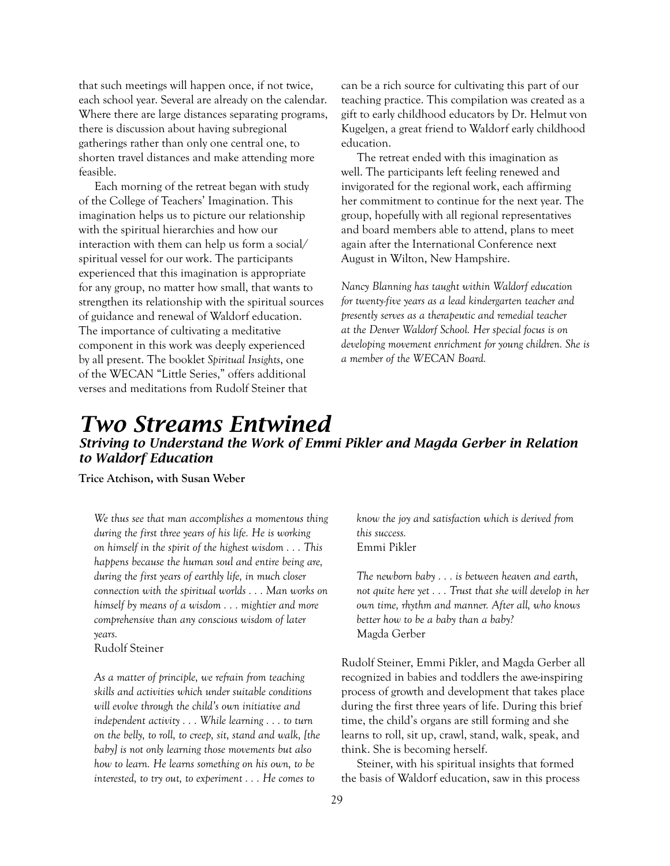that such meetings will happen once, if not twice, each school year. Several are already on the calendar. Where there are large distances separating programs, there is discussion about having subregional gatherings rather than only one central one, to shorten travel distances and make attending more feasible.

Each morning of the retreat began with study of the College of Teachers' Imagination. This imagination helps us to picture our relationship with the spiritual hierarchies and how our interaction with them can help us form a social/ spiritual vessel for our work. The participants experienced that this imagination is appropriate for any group, no matter how small, that wants to strengthen its relationship with the spiritual sources of guidance and renewal of Waldorf education. The importance of cultivating a meditative component in this work was deeply experienced by all present. The booklet *Spiritual Insights*, one of the WECAN "Little Series," offers additional verses and meditations from Rudolf Steiner that

can be a rich source for cultivating this part of our teaching practice. This compilation was created as a gift to early childhood educators by Dr. Helmut von Kugelgen, a great friend to Waldorf early childhood education.

The retreat ended with this imagination as well. The participants left feeling renewed and invigorated for the regional work, each affirming her commitment to continue for the next year. The group, hopefully with all regional representatives and board members able to attend, plans to meet again after the International Conference next August in Wilton, New Hampshire.

*Nancy Blanning has taught within Waldorf education for twenty-five years as a lead kindergarten teacher and presently serves as a therapeutic and remedial teacher at the Denver Waldorf School. Her special focus is on developing movement enrichment for young children. She is a member of the WECAN Board.*

# *Two Streams Entwined Striving to Understand the Work of Emmi Pikler and Magda Gerber in Relation to Waldorf Education*

**Trice Atchison, with Susan Weber**

*We thus see that man accomplishes a momentous thing during the first three years of his life. He is working on himself in the spirit of the highest wisdom . . . This happens because the human soul and entire being are, during the first years of earthly life, in much closer connection with the spiritual worlds . . . Man works on himself by means of a wisdom . . . mightier and more comprehensive than any conscious wisdom of later years.* 

Rudolf Steiner

*As a matter of principle, we refrain from teaching skills and activities which under suitable conditions will evolve through the child's own initiative and independent activity . . . While learning . . . to turn on the belly, to roll, to creep, sit, stand and walk, [the baby] is not only learning those movements but also how to learn. He learns something on his own, to be interested, to try out, to experiment . . . He comes to* 

*know the joy and satisfaction which is derived from this success.*  Emmi Pikler

*The newborn baby . . . is between heaven and earth, not quite here yet . . . Trust that she will develop in her own time, rhythm and manner. After all, who knows better how to be a baby than a baby?* Magda Gerber

Rudolf Steiner, Emmi Pikler, and Magda Gerber all recognized in babies and toddlers the awe-inspiring process of growth and development that takes place during the first three years of life. During this brief time, the child's organs are still forming and she learns to roll, sit up, crawl, stand, walk, speak, and think. She is becoming herself.

Steiner, with his spiritual insights that formed the basis of Waldorf education, saw in this process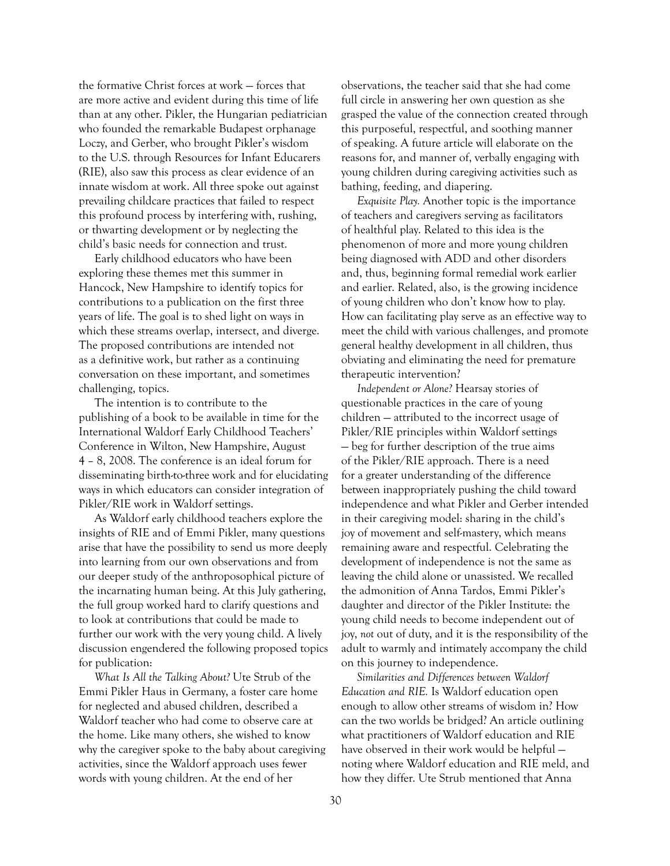the formative Christ forces at work — forces that are more active and evident during this time of life than at any other. Pikler, the Hungarian pediatrician who founded the remarkable Budapest orphanage Loczy, and Gerber, who brought Pikler's wisdom to the U.S. through Resources for Infant Educarers (RIE), also saw this process as clear evidence of an innate wisdom at work. All three spoke out against prevailing childcare practices that failed to respect this profound process by interfering with, rushing, or thwarting development or by neglecting the child's basic needs for connection and trust.

Early childhood educators who have been exploring these themes met this summer in Hancock, New Hampshire to identify topics for contributions to a publication on the first three years of life. The goal is to shed light on ways in which these streams overlap, intersect, and diverge. The proposed contributions are intended not as a definitive work, but rather as a continuing conversation on these important, and sometimes challenging, topics.

The intention is to contribute to the publishing of a book to be available in time for the International Waldorf Early Childhood Teachers' Conference in Wilton, New Hampshire, August 4 – 8, 2008. The conference is an ideal forum for disseminating birth-to-three work and for elucidating ways in which educators can consider integration of Pikler/RIE work in Waldorf settings.

As Waldorf early childhood teachers explore the insights of RIE and of Emmi Pikler, many questions arise that have the possibility to send us more deeply into learning from our own observations and from our deeper study of the anthroposophical picture of the incarnating human being. At this July gathering, the full group worked hard to clarify questions and to look at contributions that could be made to further our work with the very young child. A lively discussion engendered the following proposed topics for publication:

*What Is All the Talking About?* Ute Strub of the Emmi Pikler Haus in Germany, a foster care home for neglected and abused children, described a Waldorf teacher who had come to observe care at the home. Like many others, she wished to know why the caregiver spoke to the baby about caregiving activities, since the Waldorf approach uses fewer words with young children. At the end of her

observations, the teacher said that she had come full circle in answering her own question as she grasped the value of the connection created through this purposeful, respectful, and soothing manner of speaking. A future article will elaborate on the reasons for, and manner of, verbally engaging with young children during caregiving activities such as bathing, feeding, and diapering.

*Exquisite Play.* Another topic is the importance of teachers and caregivers serving as facilitators of healthful play. Related to this idea is the phenomenon of more and more young children being diagnosed with ADD and other disorders and, thus, beginning formal remedial work earlier and earlier. Related, also, is the growing incidence of young children who don't know how to play. How can facilitating play serve as an effective way to meet the child with various challenges, and promote general healthy development in all children, thus obviating and eliminating the need for premature therapeutic intervention?

*Independent or Alone?* Hearsay stories of questionable practices in the care of young children — attributed to the incorrect usage of Pikler/RIE principles within Waldorf settings — beg for further description of the true aims of the Pikler/RIE approach. There is a need for a greater understanding of the difference between inappropriately pushing the child toward independence and what Pikler and Gerber intended in their caregiving model: sharing in the child's joy of movement and self-mastery, which means remaining aware and respectful. Celebrating the development of independence is not the same as leaving the child alone or unassisted. We recalled the admonition of Anna Tardos, Emmi Pikler's daughter and director of the Pikler Institute: the young child needs to become independent out of joy, *not* out of duty, and it is the responsibility of the adult to warmly and intimately accompany the child on this journey to independence.

*Similarities and Differences between Waldorf Education and RIE.* Is Waldorf education open enough to allow other streams of wisdom in? How can the two worlds be bridged? An article outlining what practitioners of Waldorf education and RIE have observed in their work would be helpful noting where Waldorf education and RIE meld, and how they differ. Ute Strub mentioned that Anna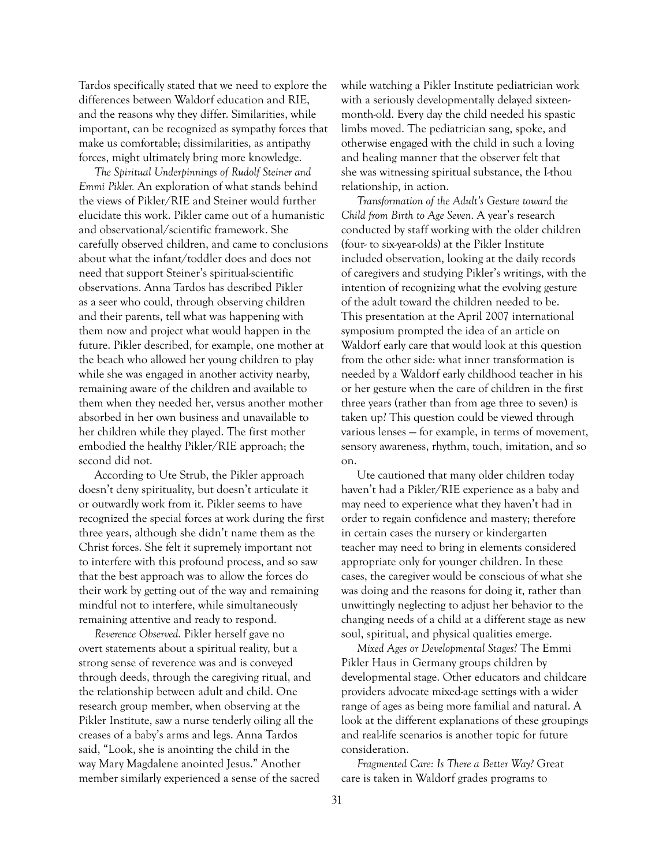Tardos specifically stated that we need to explore the differences between Waldorf education and RIE, and the reasons why they differ. Similarities, while important, can be recognized as sympathy forces that make us comfortable; dissimilarities, as antipathy forces, might ultimately bring more knowledge.

*The Spiritual Underpinnings of Rudolf Steiner and Emmi Pikler.* An exploration of what stands behind the views of Pikler/RIE and Steiner would further elucidate this work. Pikler came out of a humanistic and observational/scientific framework. She carefully observed children, and came to conclusions about what the infant/toddler does and does not need that support Steiner's spiritual-scientific observations. Anna Tardos has described Pikler as a seer who could, through observing children and their parents, tell what was happening with them now and project what would happen in the future. Pikler described, for example, one mother at the beach who allowed her young children to play while she was engaged in another activity nearby, remaining aware of the children and available to them when they needed her, versus another mother absorbed in her own business and unavailable to her children while they played. The first mother embodied the healthy Pikler/RIE approach; the second did not.

According to Ute Strub, the Pikler approach doesn't deny spirituality, but doesn't articulate it or outwardly work from it. Pikler seems to have recognized the special forces at work during the first three years, although she didn't name them as the Christ forces. She felt it supremely important not to interfere with this profound process, and so saw that the best approach was to allow the forces do their work by getting out of the way and remaining mindful not to interfere, while simultaneously remaining attentive and ready to respond.

*Reverence Observed.* Pikler herself gave no overt statements about a spiritual reality, but a strong sense of reverence was and is conveyed through deeds, through the caregiving ritual, and the relationship between adult and child. One research group member, when observing at the Pikler Institute, saw a nurse tenderly oiling all the creases of a baby's arms and legs. Anna Tardos said, "Look, she is anointing the child in the way Mary Magdalene anointed Jesus." Another member similarly experienced a sense of the sacred while watching a Pikler Institute pediatrician work with a seriously developmentally delayed sixteenmonth-old. Every day the child needed his spastic limbs moved. The pediatrician sang, spoke, and otherwise engaged with the child in such a loving and healing manner that the observer felt that she was witnessing spiritual substance, the I-thou relationship, in action.

*Transformation of the Adult's Gesture toward the Child from Birth to Age Seven*. A year's research conducted by staff working with the older children (four- to six-year-olds) at the Pikler Institute included observation, looking at the daily records of caregivers and studying Pikler's writings, with the intention of recognizing what the evolving gesture of the adult toward the children needed to be. This presentation at the April 2007 international symposium prompted the idea of an article on Waldorf early care that would look at this question from the other side: what inner transformation is needed by a Waldorf early childhood teacher in his or her gesture when the care of children in the first three years (rather than from age three to seven) is taken up? This question could be viewed through various lenses — for example, in terms of movement, sensory awareness, rhythm, touch, imitation, and so on.

Ute cautioned that many older children today haven't had a Pikler/RIE experience as a baby and may need to experience what they haven't had in order to regain confidence and mastery; therefore in certain cases the nursery or kindergarten teacher may need to bring in elements considered appropriate only for younger children. In these cases, the caregiver would be conscious of what she was doing and the reasons for doing it, rather than unwittingly neglecting to adjust her behavior to the changing needs of a child at a different stage as new soul, spiritual, and physical qualities emerge.

*Mixed Ages or Developmental Stages*? The Emmi Pikler Haus in Germany groups children by developmental stage. Other educators and childcare providers advocate mixed-age settings with a wider range of ages as being more familial and natural. A look at the different explanations of these groupings and real-life scenarios is another topic for future consideration.

*Fragmented Care: Is There a Better Way?* Great care is taken in Waldorf grades programs to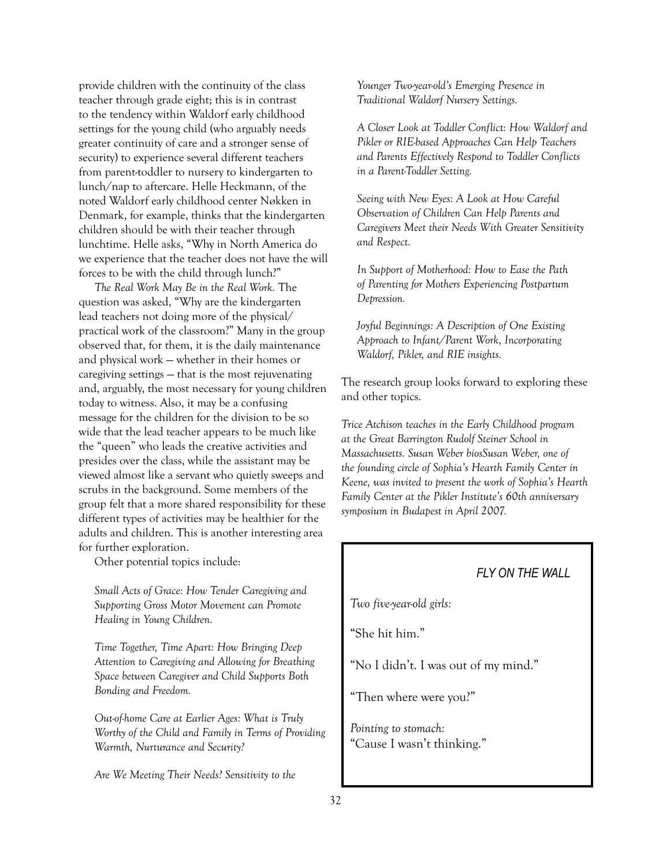provide children with the continuity of the class teacher through grade eight; this is in contrast to the tendency within Waldorf early childhood settings for the young child (who arguably needs greater continuity of care and a stronger sense of security) to experience several different teachers from parent-toddler to nursery to kindergarten to lunch/nap to aftercare. Helle Heckmann, of the noted Waldorf early childhood center Nøkken in Denmark, for example, thinks that the kindergarten children should be with their teacher through lunchtime. Helle asks, "Why in North America do we experience that the teacher does not have the will forces to be with the child through lunch?"

*The Real Work May Be in the Real Work.* The question was asked, "Why are the kindergarten lead teachers not doing more of the physical/ practical work of the classroom?" Many in the group observed that, for them, it is the daily maintenance and physical work — whether in their homes or caregiving settings — that is the most rejuvenating and, arguably, the most necessary for young children today to witness. Also, it may be a confusing message for the children for the division to be so wide that the lead teacher appears to be much like the "queen" who leads the creative activities and presides over the class, while the assistant may be viewed almost like a servant who quietly sweeps and scrubs in the background. Some members of the group felt that a more shared responsibility for these different types of activities may be healthier for the adults and children. This is another interesting area for further exploration.

Other potential topics include:

*Small Acts of Grace: How Tender Caregiving and Supporting Gross Motor Movement can Promote Healing in Young Children.*

*Time Together, Time Apart: How Bringing Deep Attention to Caregiving and Allowing for Breathing Space between Caregiver and Child Supports Both Bonding and Freedom.* 

*Out-of-home Care at Earlier Ages: What is Truly Worthy of the Child and Family in Terms of Providing Warmth, Nurturance and Security?* 

*Are We Meeting Their Needs? Sensitivity to the* 

*Younger Two-year-old's Emerging Presence in Traditional Waldorf Nursery Settings.*

*A Closer Look at Toddler Conflict: How Waldorf and Pikler or RIE-based Approaches Can Help Teachers and Parents Effectively Respond to Toddler Conflicts in a Parent-Toddler Setting.*

*Seeing with New Eyes: A Look at How Careful Observation of Children Can Help Parents and Caregivers Meet their Needs With Greater Sensitivity and Respect.*

*In Support of Motherhood: How to Ease the Path of Parenting for Mothers Experiencing Postpartum Depression.*

*Joyful Beginnings: A Description of One Existing Approach to Infant/Parent Work, Incorporating Waldorf, Pikler, and RIE insights.*

The research group looks forward to exploring these and other topics.

*Trice Atchison teaches in the Early Childhood program at the Great Barrington Rudolf Steiner School in Massachusetts. Susan Weber biosSusan Weber, one of the founding circle of Sophia's Hearth Family Center in Keene, was invited to present the work of Sophia's Hearth Family Center at the Pikler Institute's 60th anniversary symposium in Budapest in April 2007.*

## *FLY ON THE WALL*

*Two five-year-old girls:*

"She hit him."

"No I didn't. I was out of my mind."

"Then where were you?"

*Pointing to stomach:*  "Cause I wasn't thinking."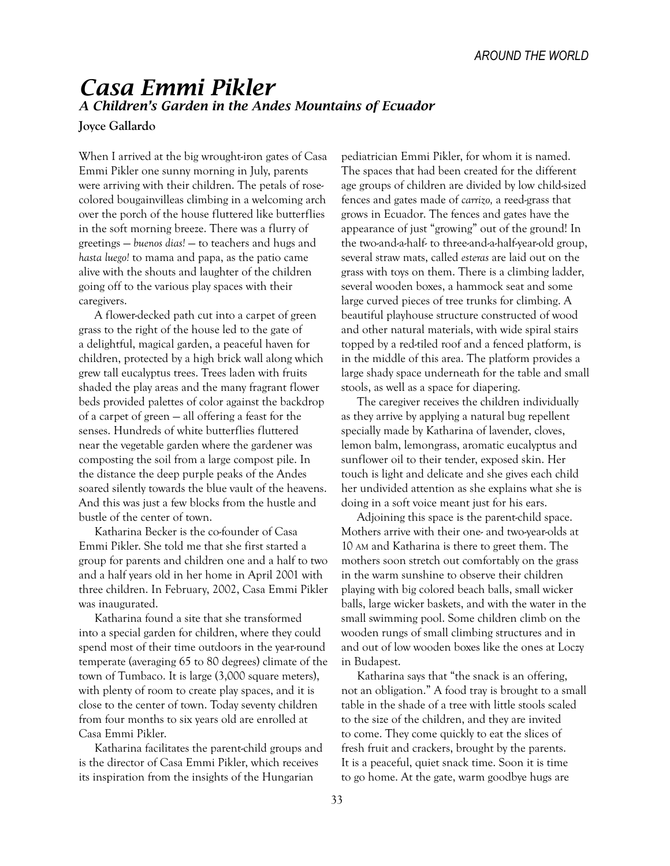# *Casa Emmi Pikler A Children's Garden in the Andes Mountains of Ecuador*

### **Joyce Gallardo**

When I arrived at the big wrought-iron gates of Casa Emmi Pikler one sunny morning in July, parents were arriving with their children. The petals of rosecolored bougainvilleas climbing in a welcoming arch over the porch of the house fluttered like butterflies in the soft morning breeze. There was a flurry of greetings — *buenos dias!* — to teachers and hugs and *hasta luego!* to mama and papa, as the patio came alive with the shouts and laughter of the children going off to the various play spaces with their caregivers.

A flower-decked path cut into a carpet of green grass to the right of the house led to the gate of a delightful, magical garden, a peaceful haven for children, protected by a high brick wall along which grew tall eucalyptus trees. Trees laden with fruits shaded the play areas and the many fragrant flower beds provided palettes of color against the backdrop of a carpet of green — all offering a feast for the senses. Hundreds of white butterflies fluttered near the vegetable garden where the gardener was composting the soil from a large compost pile. In the distance the deep purple peaks of the Andes soared silently towards the blue vault of the heavens. And this was just a few blocks from the hustle and bustle of the center of town.

Katharina Becker is the co-founder of Casa Emmi Pikler. She told me that she first started a group for parents and children one and a half to two and a half years old in her home in April 2001 with three children. In February, 2002, Casa Emmi Pikler was inaugurated.

Katharina found a site that she transformed into a special garden for children, where they could spend most of their time outdoors in the year-round temperate (averaging 65 to 80 degrees) climate of the town of Tumbaco. It is large (3,000 square meters), with plenty of room to create play spaces, and it is close to the center of town. Today seventy children from four months to six years old are enrolled at Casa Emmi Pikler.

Katharina facilitates the parent-child groups and is the director of Casa Emmi Pikler, which receives its inspiration from the insights of the Hungarian

pediatrician Emmi Pikler, for whom it is named. The spaces that had been created for the different age groups of children are divided by low child-sized fences and gates made of *carrizo,* a reed-grass that grows in Ecuador. The fences and gates have the appearance of just "growing" out of the ground! In the two-and-a-half- to three-and-a-half-year-old group, several straw mats, called *esteras* are laid out on the grass with toys on them. There is a climbing ladder, several wooden boxes, a hammock seat and some large curved pieces of tree trunks for climbing. A beautiful playhouse structure constructed of wood and other natural materials, with wide spiral stairs topped by a red-tiled roof and a fenced platform, is in the middle of this area. The platform provides a large shady space underneath for the table and small stools, as well as a space for diapering.

The caregiver receives the children individually as they arrive by applying a natural bug repellent specially made by Katharina of lavender, cloves, lemon balm, lemongrass, aromatic eucalyptus and sunflower oil to their tender, exposed skin. Her touch is light and delicate and she gives each child her undivided attention as she explains what she is doing in a soft voice meant just for his ears.

Adjoining this space is the parent-child space. Mothers arrive with their one- and two-year-olds at 10 AM and Katharina is there to greet them. The mothers soon stretch out comfortably on the grass in the warm sunshine to observe their children playing with big colored beach balls, small wicker balls, large wicker baskets, and with the water in the small swimming pool. Some children climb on the wooden rungs of small climbing structures and in and out of low wooden boxes like the ones at Loczy in Budapest.

Katharina says that "the snack is an offering, not an obligation." A food tray is brought to a small table in the shade of a tree with little stools scaled to the size of the children, and they are invited to come. They come quickly to eat the slices of fresh fruit and crackers, brought by the parents. It is a peaceful, quiet snack time. Soon it is time to go home. At the gate, warm goodbye hugs are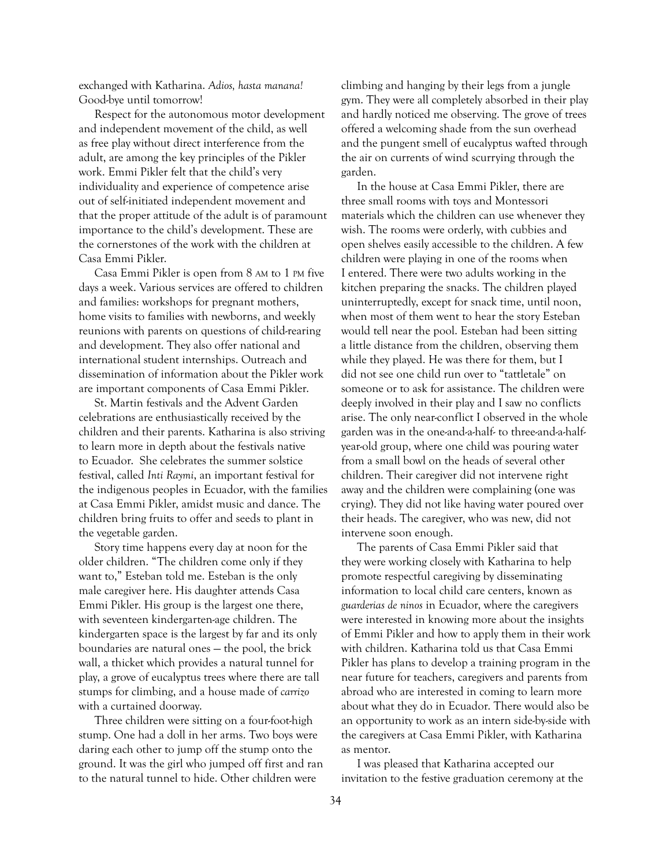exchanged with Katharina. *Adios, hasta manana!* Good-bye until tomorrow!

Respect for the autonomous motor development and independent movement of the child, as well as free play without direct interference from the adult, are among the key principles of the Pikler work. Emmi Pikler felt that the child's very individuality and experience of competence arise out of self-initiated independent movement and that the proper attitude of the adult is of paramount importance to the child's development. These are the cornerstones of the work with the children at Casa Emmi Pikler.

Casa Emmi Pikler is open from 8 AM to 1 PM five days a week. Various services are offered to children and families: workshops for pregnant mothers, home visits to families with newborns, and weekly reunions with parents on questions of child-rearing and development. They also offer national and international student internships. Outreach and dissemination of information about the Pikler work are important components of Casa Emmi Pikler.

St. Martin festivals and the Advent Garden celebrations are enthusiastically received by the children and their parents. Katharina is also striving to learn more in depth about the festivals native to Ecuador. She celebrates the summer solstice festival, called *Inti Raymi*, an important festival for the indigenous peoples in Ecuador, with the families at Casa Emmi Pikler, amidst music and dance. The children bring fruits to offer and seeds to plant in the vegetable garden.

Story time happens every day at noon for the older children. "The children come only if they want to," Esteban told me. Esteban is the only male caregiver here. His daughter attends Casa Emmi Pikler. His group is the largest one there, with seventeen kindergarten-age children. The kindergarten space is the largest by far and its only boundaries are natural ones — the pool, the brick wall, a thicket which provides a natural tunnel for play, a grove of eucalyptus trees where there are tall stumps for climbing, and a house made of *carrizo* with a curtained doorway.

Three children were sitting on a four-foot-high stump. One had a doll in her arms. Two boys were daring each other to jump off the stump onto the ground. It was the girl who jumped off first and ran to the natural tunnel to hide. Other children were

climbing and hanging by their legs from a jungle gym. They were all completely absorbed in their play and hardly noticed me observing. The grove of trees offered a welcoming shade from the sun overhead and the pungent smell of eucalyptus wafted through the air on currents of wind scurrying through the garden.

In the house at Casa Emmi Pikler, there are three small rooms with toys and Montessori materials which the children can use whenever they wish. The rooms were orderly, with cubbies and open shelves easily accessible to the children. A few children were playing in one of the rooms when I entered. There were two adults working in the kitchen preparing the snacks. The children played uninterruptedly, except for snack time, until noon, when most of them went to hear the story Esteban would tell near the pool. Esteban had been sitting a little distance from the children, observing them while they played. He was there for them, but I did not see one child run over to "tattletale" on someone or to ask for assistance. The children were deeply involved in their play and I saw no conflicts arise. The only near-conflict I observed in the whole garden was in the one-and-a-half- to three-and-a-halfyear-old group, where one child was pouring water from a small bowl on the heads of several other children. Their caregiver did not intervene right away and the children were complaining (one was crying). They did not like having water poured over their heads. The caregiver, who was new, did not intervene soon enough.

The parents of Casa Emmi Pikler said that they were working closely with Katharina to help promote respectful caregiving by disseminating information to local child care centers, known as *guarderias de ninos* in Ecuador, where the caregivers were interested in knowing more about the insights of Emmi Pikler and how to apply them in their work with children. Katharina told us that Casa Emmi Pikler has plans to develop a training program in the near future for teachers, caregivers and parents from abroad who are interested in coming to learn more about what they do in Ecuador. There would also be an opportunity to work as an intern side-by-side with the caregivers at Casa Emmi Pikler, with Katharina as mentor.

I was pleased that Katharina accepted our invitation to the festive graduation ceremony at the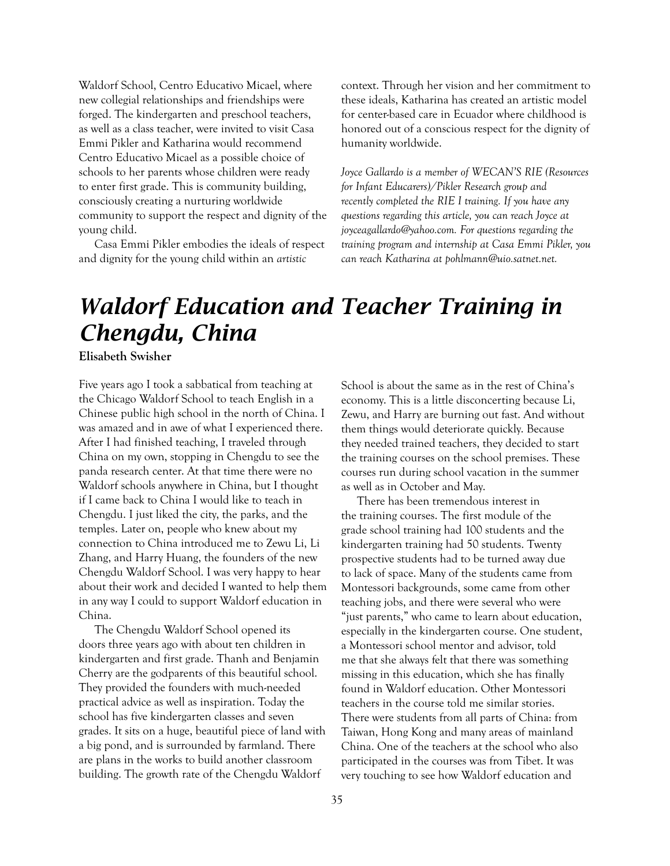Waldorf School, Centro Educativo Micael, where new collegial relationships and friendships were forged. The kindergarten and preschool teachers, as well as a class teacher, were invited to visit Casa Emmi Pikler and Katharina would recommend Centro Educativo Micael as a possible choice of schools to her parents whose children were ready to enter first grade. This is community building, consciously creating a nurturing worldwide community to support the respect and dignity of the young child.

Casa Emmi Pikler embodies the ideals of respect and dignity for the young child within an *artistic*

context. Through her vision and her commitment to these ideals, Katharina has created an artistic model for center-based care in Ecuador where childhood is honored out of a conscious respect for the dignity of humanity worldwide.

*Joyce Gallardo is a member of WECAN'S RIE (Resources for Infant Educarers)/Pikler Research group and recently completed the RIE I training. If you have any questions regarding this article, you can reach Joyce at joyceagallardo@yahoo.com. For questions regarding the training program and internship at Casa Emmi Pikler, you can reach Katharina at pohlmann@uio.satnet.net.*

# *Waldorf Education and Teacher Training in Chengdu, China*

**Elisabeth Swisher**

Five years ago I took a sabbatical from teaching at the Chicago Waldorf School to teach English in a Chinese public high school in the north of China. I was amazed and in awe of what I experienced there. After I had finished teaching, I traveled through China on my own, stopping in Chengdu to see the panda research center. At that time there were no Waldorf schools anywhere in China, but I thought if I came back to China I would like to teach in Chengdu. I just liked the city, the parks, and the temples. Later on, people who knew about my connection to China introduced me to Zewu Li, Li Zhang, and Harry Huang, the founders of the new Chengdu Waldorf School. I was very happy to hear about their work and decided I wanted to help them in any way I could to support Waldorf education in China.

The Chengdu Waldorf School opened its doors three years ago with about ten children in kindergarten and first grade. Thanh and Benjamin Cherry are the godparents of this beautiful school. They provided the founders with much-needed practical advice as well as inspiration. Today the school has five kindergarten classes and seven grades. It sits on a huge, beautiful piece of land with a big pond, and is surrounded by farmland. There are plans in the works to build another classroom building. The growth rate of the Chengdu Waldorf

School is about the same as in the rest of China's economy. This is a little disconcerting because Li, Zewu, and Harry are burning out fast. And without them things would deteriorate quickly. Because they needed trained teachers, they decided to start the training courses on the school premises. These courses run during school vacation in the summer as well as in October and May.

There has been tremendous interest in the training courses. The first module of the grade school training had 100 students and the kindergarten training had 50 students. Twenty prospective students had to be turned away due to lack of space. Many of the students came from Montessori backgrounds, some came from other teaching jobs, and there were several who were "just parents," who came to learn about education, especially in the kindergarten course. One student, a Montessori school mentor and advisor, told me that she always felt that there was something missing in this education, which she has finally found in Waldorf education. Other Montessori teachers in the course told me similar stories. There were students from all parts of China: from Taiwan, Hong Kong and many areas of mainland China. One of the teachers at the school who also participated in the courses was from Tibet. It was very touching to see how Waldorf education and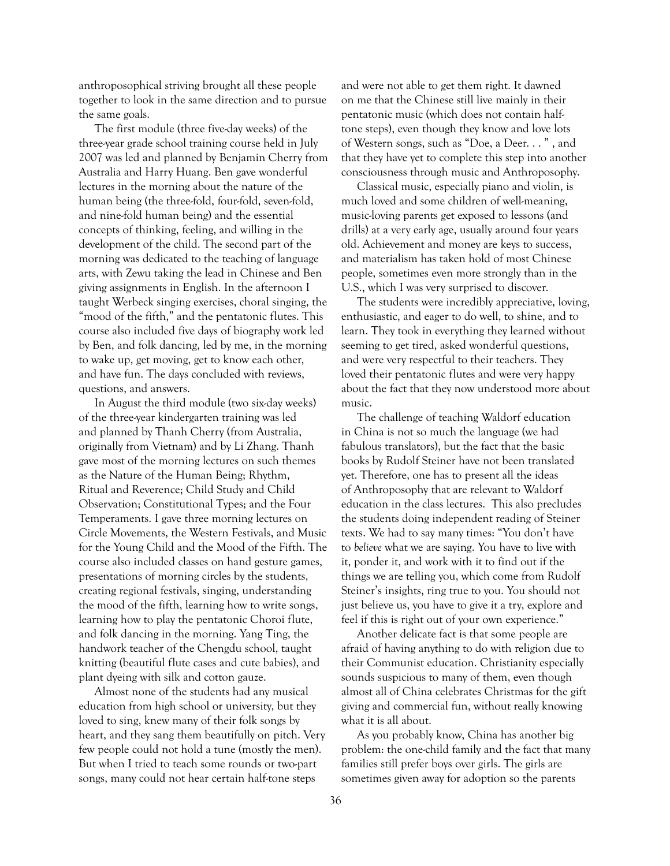anthroposophical striving brought all these people together to look in the same direction and to pursue the same goals.

The first module (three five-day weeks) of the three-year grade school training course held in July 2007 was led and planned by Benjamin Cherry from Australia and Harry Huang. Ben gave wonderful lectures in the morning about the nature of the human being (the three-fold, four-fold, seven-fold, and nine-fold human being) and the essential concepts of thinking, feeling, and willing in the development of the child. The second part of the morning was dedicated to the teaching of language arts, with Zewu taking the lead in Chinese and Ben giving assignments in English. In the afternoon I taught Werbeck singing exercises, choral singing, the "mood of the fifth," and the pentatonic flutes. This course also included five days of biography work led by Ben, and folk dancing, led by me, in the morning to wake up, get moving, get to know each other, and have fun. The days concluded with reviews, questions, and answers.

In August the third module (two six-day weeks) of the three-year kindergarten training was led and planned by Thanh Cherry (from Australia, originally from Vietnam) and by Li Zhang. Thanh gave most of the morning lectures on such themes as the Nature of the Human Being; Rhythm, Ritual and Reverence; Child Study and Child Observation; Constitutional Types; and the Four Temperaments. I gave three morning lectures on Circle Movements, the Western Festivals, and Music for the Young Child and the Mood of the Fifth. The course also included classes on hand gesture games, presentations of morning circles by the students, creating regional festivals, singing, understanding the mood of the fifth, learning how to write songs, learning how to play the pentatonic Choroi flute, and folk dancing in the morning. Yang Ting, the handwork teacher of the Chengdu school, taught knitting (beautiful flute cases and cute babies), and plant dyeing with silk and cotton gauze.

Almost none of the students had any musical education from high school or university, but they loved to sing, knew many of their folk songs by heart, and they sang them beautifully on pitch. Very few people could not hold a tune (mostly the men). But when I tried to teach some rounds or two-part songs, many could not hear certain half-tone steps

and were not able to get them right. It dawned on me that the Chinese still live mainly in their pentatonic music (which does not contain halftone steps), even though they know and love lots of Western songs, such as "Doe, a Deer. . . " , and that they have yet to complete this step into another consciousness through music and Anthroposophy.

Classical music, especially piano and violin, is much loved and some children of well-meaning, music-loving parents get exposed to lessons (and drills) at a very early age, usually around four years old. Achievement and money are keys to success, and materialism has taken hold of most Chinese people, sometimes even more strongly than in the U.S., which I was very surprised to discover.

The students were incredibly appreciative, loving, enthusiastic, and eager to do well, to shine, and to learn. They took in everything they learned without seeming to get tired, asked wonderful questions, and were very respectful to their teachers. They loved their pentatonic flutes and were very happy about the fact that they now understood more about music.

The challenge of teaching Waldorf education in China is not so much the language (we had fabulous translators), but the fact that the basic books by Rudolf Steiner have not been translated yet. Therefore, one has to present all the ideas of Anthroposophy that are relevant to Waldorf education in the class lectures. This also precludes the students doing independent reading of Steiner texts. We had to say many times: "You don't have to *believe* what we are saying. You have to live with it, ponder it, and work with it to find out if the things we are telling you, which come from Rudolf Steiner's insights, ring true to you. You should not just believe us, you have to give it a try, explore and feel if this is right out of your own experience."

Another delicate fact is that some people are afraid of having anything to do with religion due to their Communist education. Christianity especially sounds suspicious to many of them, even though almost all of China celebrates Christmas for the gift giving and commercial fun, without really knowing what it is all about.

As you probably know, China has another big problem: the one-child family and the fact that many families still prefer boys over girls. The girls are sometimes given away for adoption so the parents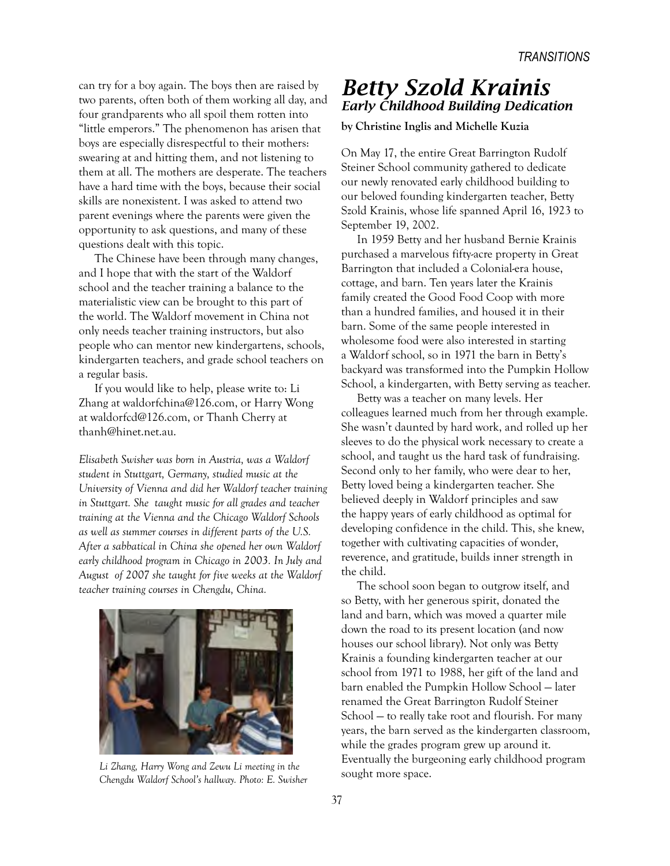can try for a boy again. The boys then are raised by two parents, often both of them working all day, and four grandparents who all spoil them rotten into "little emperors." The phenomenon has arisen that boys are especially disrespectful to their mothers: swearing at and hitting them, and not listening to them at all. The mothers are desperate. The teachers have a hard time with the boys, because their social skills are nonexistent. I was asked to attend two parent evenings where the parents were given the opportunity to ask questions, and many of these questions dealt with this topic.

The Chinese have been through many changes, and I hope that with the start of the Waldorf school and the teacher training a balance to the materialistic view can be brought to this part of the world. The Waldorf movement in China not only needs teacher training instructors, but also people who can mentor new kindergartens, schools, kindergarten teachers, and grade school teachers on a regular basis.

If you would like to help, please write to: Li Zhang at waldorfchina@126.com, or Harry Wong at waldorfcd@126.com, or Thanh Cherry at thanh@hinet.net.au.

*Elisabeth Swisher was born in Austria, was a Waldorf student in Stuttgart, Germany, studied music at the University of Vienna and did her Waldorf teacher training in Stuttgart. She taught music for all grades and teacher training at the Vienna and the Chicago Waldorf Schools as well as summer courses in different parts of the U.S. After a sabbatical in China she opened her own Waldorf early childhood program in Chicago in 2003. In July and August of 2007 she taught for five weeks at the Waldorf teacher training courses in Chengdu, China.* 



sought more space. *Li Zhang, Harry Wong and Zewu Li meeting in the Chengdu Waldorf School's hallway. Photo: E. Swisher*

# *Betty Szold Krainis Early Childhood Building Dedication*

**by Christine Inglis and Michelle Kuzia**

On May 17, the entire Great Barrington Rudolf Steiner School community gathered to dedicate our newly renovated early childhood building to our beloved founding kindergarten teacher, Betty Szold Krainis, whose life spanned April 16, 1923 to September 19, 2002.

In 1959 Betty and her husband Bernie Krainis purchased a marvelous fifty-acre property in Great Barrington that included a Colonial-era house, cottage, and barn. Ten years later the Krainis family created the Good Food Coop with more than a hundred families, and housed it in their barn. Some of the same people interested in wholesome food were also interested in starting a Waldorf school, so in 1971 the barn in Betty's backyard was transformed into the Pumpkin Hollow School, a kindergarten, with Betty serving as teacher.

Betty was a teacher on many levels. Her colleagues learned much from her through example. She wasn't daunted by hard work, and rolled up her sleeves to do the physical work necessary to create a school, and taught us the hard task of fundraising. Second only to her family, who were dear to her, Betty loved being a kindergarten teacher. She believed deeply in Waldorf principles and saw the happy years of early childhood as optimal for developing confidence in the child. This, she knew, together with cultivating capacities of wonder, reverence, and gratitude, builds inner strength in the child.

The school soon began to outgrow itself, and so Betty, with her generous spirit, donated the land and barn, which was moved a quarter mile down the road to its present location (and now houses our school library). Not only was Betty Krainis a founding kindergarten teacher at our school from 1971 to 1988, her gift of the land and barn enabled the Pumpkin Hollow School — later renamed the Great Barrington Rudolf Steiner School — to really take root and flourish. For many years, the barn served as the kindergarten classroom, while the grades program grew up around it. Eventually the burgeoning early childhood program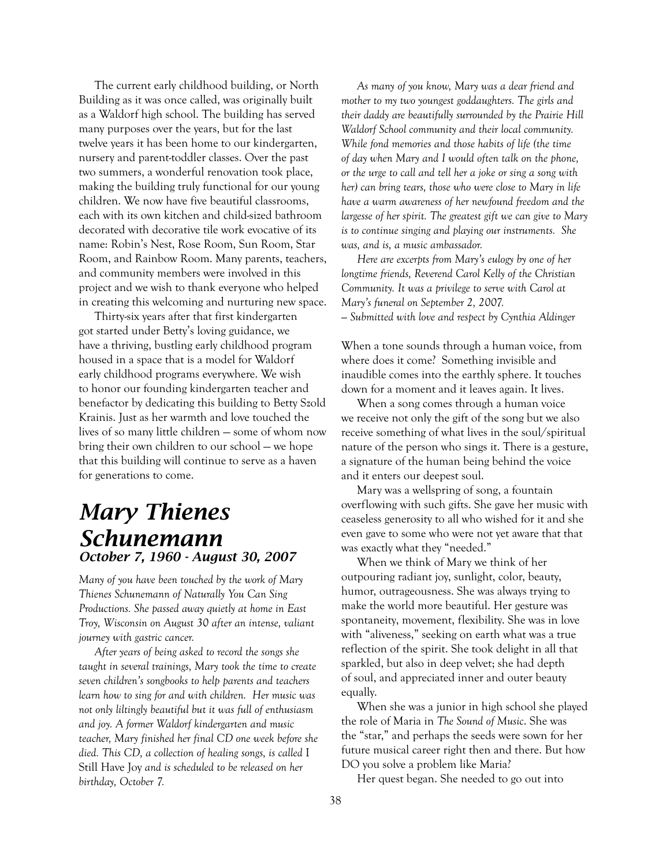The current early childhood building, or North Building as it was once called, was originally built as a Waldorf high school. The building has served many purposes over the years, but for the last twelve years it has been home to our kindergarten, nursery and parent-toddler classes. Over the past two summers, a wonderful renovation took place, making the building truly functional for our young children. We now have five beautiful classrooms, each with its own kitchen and child-sized bathroom decorated with decorative tile work evocative of its name: Robin's Nest, Rose Room, Sun Room, Star Room, and Rainbow Room. Many parents, teachers, and community members were involved in this project and we wish to thank everyone who helped in creating this welcoming and nurturing new space.

Thirty-six years after that first kindergarten got started under Betty's loving guidance, we have a thriving, bustling early childhood program housed in a space that is a model for Waldorf early childhood programs everywhere. We wish to honor our founding kindergarten teacher and benefactor by dedicating this building to Betty Szold Krainis. Just as her warmth and love touched the lives of so many little children — some of whom now bring their own children to our school — we hope that this building will continue to serve as a haven for generations to come.

# *Mary Thienes Schunemann October 7, 1960 - August 30, 2007*

*Many of you have been touched by the work of Mary Thienes Schunemann of Naturally You Can Sing Productions. She passed away quietly at home in East Troy, Wisconsin on August 30 after an intense, valiant journey with gastric cancer.* 

*After years of being asked to record the songs she taught in several trainings, Mary took the time to create seven children's songbooks to help parents and teachers learn how to sing for and with children. Her music was not only liltingly beautiful but it was full of enthusiasm and joy. A former Waldorf kindergarten and music teacher, Mary finished her final CD one week before she died. This CD, a collection of healing songs, is called* I Still Have Joy *and is scheduled to be released on her birthday, October 7.*

*As many of you know, Mary was a dear friend and mother to my two youngest goddaughters. The girls and their daddy are beautifully surrounded by the Prairie Hill Waldorf School community and their local community. While fond memories and those habits of life (the time of day when Mary and I would often talk on the phone, or the urge to call and tell her a joke or sing a song with her) can bring tears, those who were close to Mary in life have a warm awareness of her newfound freedom and the largesse of her spirit. The greatest gift we can give to Mary is to continue singing and playing our instruments. She was, and is, a music ambassador.* 

*Here are excerpts from Mary's eulogy by one of her longtime friends, Reverend Carol Kelly of the Christian Community. It was a privilege to serve with Carol at Mary's funeral on September 2, 2007. — Submitted with love and respect by Cynthia Aldinger*

When a tone sounds through a human voice, from where does it come? Something invisible and inaudible comes into the earthly sphere. It touches down for a moment and it leaves again. It lives.

When a song comes through a human voice we receive not only the gift of the song but we also receive something of what lives in the soul/spiritual nature of the person who sings it. There is a gesture, a signature of the human being behind the voice and it enters our deepest soul.

Mary was a wellspring of song, a fountain overflowing with such gifts. She gave her music with ceaseless generosity to all who wished for it and she even gave to some who were not yet aware that that was exactly what they "needed."

When we think of Mary we think of her outpouring radiant joy, sunlight, color, beauty, humor, outrageousness. She was always trying to make the world more beautiful. Her gesture was spontaneity, movement, flexibility. She was in love with "aliveness," seeking on earth what was a true reflection of the spirit. She took delight in all that sparkled, but also in deep velvet; she had depth of soul, and appreciated inner and outer beauty equally.

When she was a junior in high school she played the role of Maria in *The Sound of Music*. She was the "star," and perhaps the seeds were sown for her future musical career right then and there. But how DO you solve a problem like Maria?

Her quest began. She needed to go out into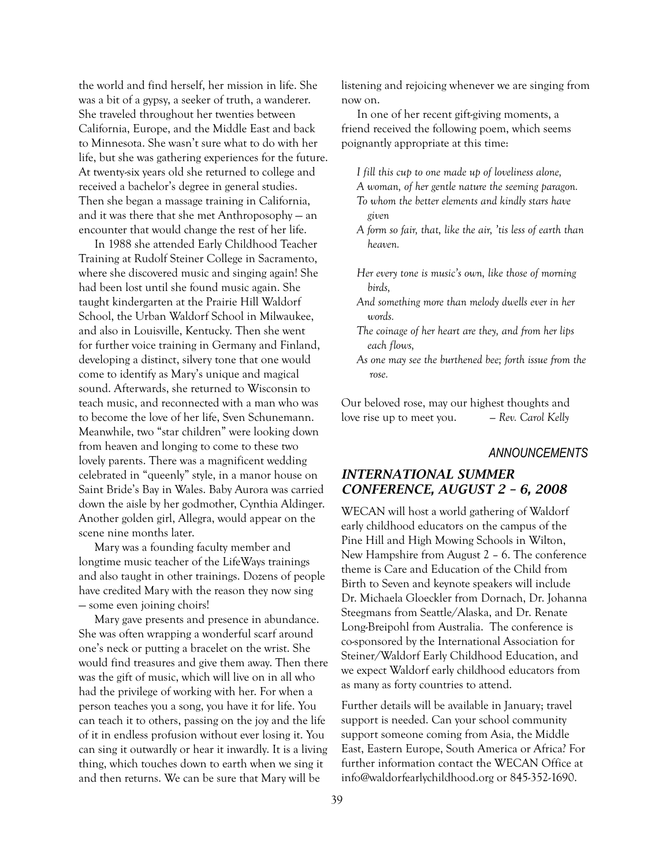the world and find herself, her mission in life. She was a bit of a gypsy, a seeker of truth, a wanderer. She traveled throughout her twenties between California, Europe, and the Middle East and back to Minnesota. She wasn't sure what to do with her life, but she was gathering experiences for the future. At twenty-six years old she returned to college and received a bachelor's degree in general studies. Then she began a massage training in California, and it was there that she met Anthroposophy — an encounter that would change the rest of her life.

In 1988 she attended Early Childhood Teacher Training at Rudolf Steiner College in Sacramento, where she discovered music and singing again! She had been lost until she found music again. She taught kindergarten at the Prairie Hill Waldorf School, the Urban Waldorf School in Milwaukee, and also in Louisville, Kentucky. Then she went for further voice training in Germany and Finland, developing a distinct, silvery tone that one would come to identify as Mary's unique and magical sound. Afterwards, she returned to Wisconsin to teach music, and reconnected with a man who was to become the love of her life, Sven Schunemann. Meanwhile, two "star children" were looking down from heaven and longing to come to these two lovely parents. There was a magnificent wedding celebrated in "queenly" style, in a manor house on Saint Bride's Bay in Wales. Baby Aurora was carried down the aisle by her godmother, Cynthia Aldinger. Another golden girl, Allegra, would appear on the scene nine months later.

Mary was a founding faculty member and longtime music teacher of the LifeWays trainings and also taught in other trainings. Dozens of people have credited Mary with the reason they now sing — some even joining choirs!

Mary gave presents and presence in abundance. She was often wrapping a wonderful scarf around one's neck or putting a bracelet on the wrist. She would find treasures and give them away. Then there was the gift of music, which will live on in all who had the privilege of working with her. For when a person teaches you a song, you have it for life. You can teach it to others, passing on the joy and the life of it in endless profusion without ever losing it. You can sing it outwardly or hear it inwardly. It is a living thing, which touches down to earth when we sing it and then returns. We can be sure that Mary will be

listening and rejoicing whenever we are singing from now on.

In one of her recent gift-giving moments, a friend received the following poem, which seems poignantly appropriate at this time:

*I fill this cup to one made up of loveliness alone, A woman, of her gentle nature the seeming paragon. To whom the better elements and kindly stars have given*

- *A form so fair, that, like the air, 'tis less of earth than heaven.*
- *Her every tone is music's own, like those of morning birds,*
- *And something more than melody dwells ever in her words.*
- *The coinage of her heart are they, and from her lips each flows,*
- *As one may see the burthened bee; forth issue from the rose.*

Our beloved rose, may our highest thoughts and love rise up to meet you. *— Rev. Carol Kelly*

#### *ANNOUNCEMENTS*

# *INTERNATIONAL SUMMER CONFERENCE, AUGUST 2 – 6, 2008*

WECAN will host a world gathering of Waldorf early childhood educators on the campus of the Pine Hill and High Mowing Schools in Wilton, New Hampshire from August 2 – 6. The conference theme is Care and Education of the Child from Birth to Seven and keynote speakers will include Dr. Michaela Gloeckler from Dornach, Dr. Johanna Steegmans from Seattle/Alaska, and Dr. Renate Long-Breipohl from Australia. The conference is co-sponsored by the International Association for Steiner/Waldorf Early Childhood Education, and we expect Waldorf early childhood educators from as many as forty countries to attend.

Further details will be available in January; travel support is needed. Can your school community support someone coming from Asia, the Middle East, Eastern Europe, South America or Africa? For further information contact the WECAN Office at info@waldorfearlychildhood.org or 845-352-1690.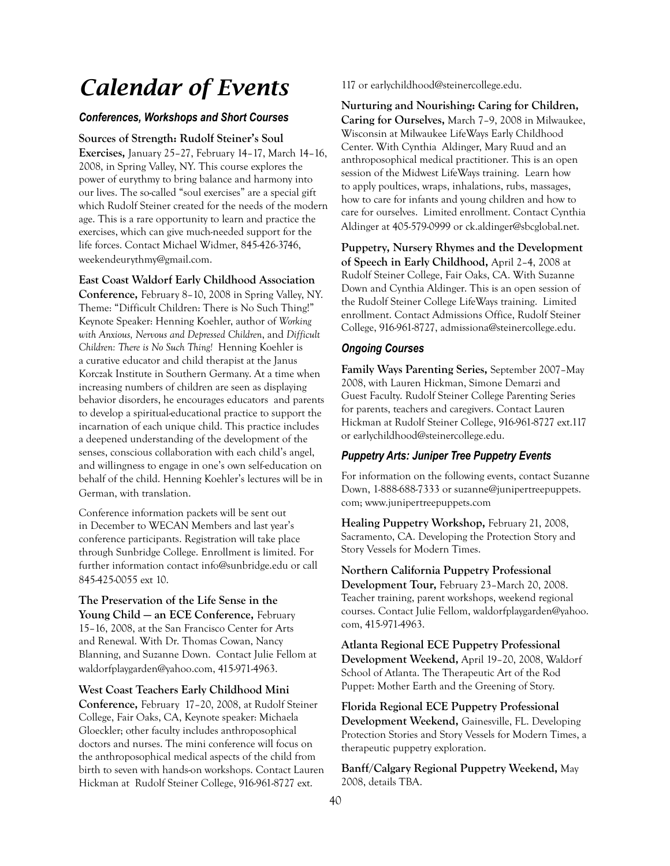# *Calendar of Events*

### *Conferences, Workshops and Short Courses*

**Sources of Strength: Rudolf Steiner's Soul Exercises,** January 25–27, February 14–17, March 14–16, 2008, in Spring Valley, NY. This course explores the power of eurythmy to bring balance and harmony into our lives. The so-called "soul exercises" are a special gift which Rudolf Steiner created for the needs of the modern age. This is a rare opportunity to learn and practice the exercises, which can give much-needed support for the life forces. Contact Michael Widmer, 845-426-3746, weekendeurythmy@gmail.com.

**East Coast Waldorf Early Childhood Association** 

**Conference,** February 8–10, 2008 in Spring Valley, NY. Theme: "Difficult Children: There is No Such Thing!" Keynote Speaker: Henning Koehler, author of *Working with Anxious, Nervous and Depressed Children*, and *Difficult Children: There is No Such Thing!* Henning Koehler is a curative educator and child therapist at the Janus Korczak Institute in Southern Germany. At a time when increasing numbers of children are seen as displaying behavior disorders, he encourages educators and parents to develop a spiritual-educational practice to support the incarnation of each unique child. This practice includes a deepened understanding of the development of the senses, conscious collaboration with each child's angel, and willingness to engage in one's own self-education on behalf of the child. Henning Koehler's lectures will be in German, with translation.

Conference information packets will be sent out in December to WECAN Members and last year's conference participants. Registration will take place through Sunbridge College. Enrollment is limited. For further information contact info@sunbridge.edu or call 845-425-0055 ext 10.

**The Preservation of the Life Sense in the Young Child — an ECE Conference,** February 15–16, 2008, at the San Francisco Center for Arts and Renewal. With Dr. Thomas Cowan, Nancy Blanning, and Suzanne Down. Contact Julie Fellom at waldorfplaygarden@yahoo.com, 415-971-4963.

#### **West Coast Teachers Early Childhood Mini**

**Conference,** February 17–20, 2008, at Rudolf Steiner College, Fair Oaks, CA, Keynote speaker: Michaela Gloeckler; other faculty includes anthroposophical doctors and nurses. The mini conference will focus on the anthroposophical medical aspects of the child from birth to seven with hands-on workshops. Contact Lauren Hickman at Rudolf Steiner College, 916-961-8727 ext.

117 or earlychildhood@steinercollege.edu.

**Nurturing and Nourishing: Caring for Children, Caring for Ourselves,** March 7–9, 2008 in Milwaukee, Wisconsin at Milwaukee LifeWays Early Childhood Center. With Cynthia Aldinger, Mary Ruud and an anthroposophical medical practitioner. This is an open session of the Midwest LifeWays training. Learn how to apply poultices, wraps, inhalations, rubs, massages, how to care for infants and young children and how to care for ourselves. Limited enrollment. Contact Cynthia Aldinger at 405-579-0999 or ck.aldinger@sbcglobal.net.

**Puppetry, Nursery Rhymes and the Development of Speech in Early Childhood,** April 2–4, 2008 at Rudolf Steiner College, Fair Oaks, CA. With Suzanne Down and Cynthia Aldinger. This is an open session of the Rudolf Steiner College LifeWays training. Limited enrollment. Contact Admissions Office, Rudolf Steiner College, 916-961-8727, admissiona@steinercollege.edu.

#### *Ongoing Courses*

**Family Ways Parenting Series,** September 2007–May 2008, with Lauren Hickman, Simone Demarzi and Guest Faculty. Rudolf Steiner College Parenting Series for parents, teachers and caregivers. Contact Lauren Hickman at Rudolf Steiner College, 916-961-8727 ext.117 or earlychildhood@steinercollege.edu.

#### *Puppetry Arts: Juniper Tree Puppetry Events*

For information on the following events, contact Suzanne Down, 1-888-688-7333 or suzanne@junipertreepuppets. com; www.junipertreepuppets.com

**Healing Puppetry Workshop,** February 21, 2008, Sacramento, CA. Developing the Protection Story and Story Vessels for Modern Times.

**Northern California Puppetry Professional Development Tour,** February 23–March 20, 2008. Teacher training, parent workshops, weekend regional courses. Contact Julie Fellom, waldorfplaygarden@yahoo. com, 415-971-4963.

**Atlanta Regional ECE Puppetry Professional Development Weekend,** April 19–20, 2008, Waldorf School of Atlanta. The Therapeutic Art of the Rod Puppet: Mother Earth and the Greening of Story.

**Florida Regional ECE Puppetry Professional Development Weekend,** Gainesville, FL. Developing Protection Stories and Story Vessels for Modern Times, a therapeutic puppetry exploration.

**Banff/Calgary Regional Puppetry Weekend,** May 2008, details TBA.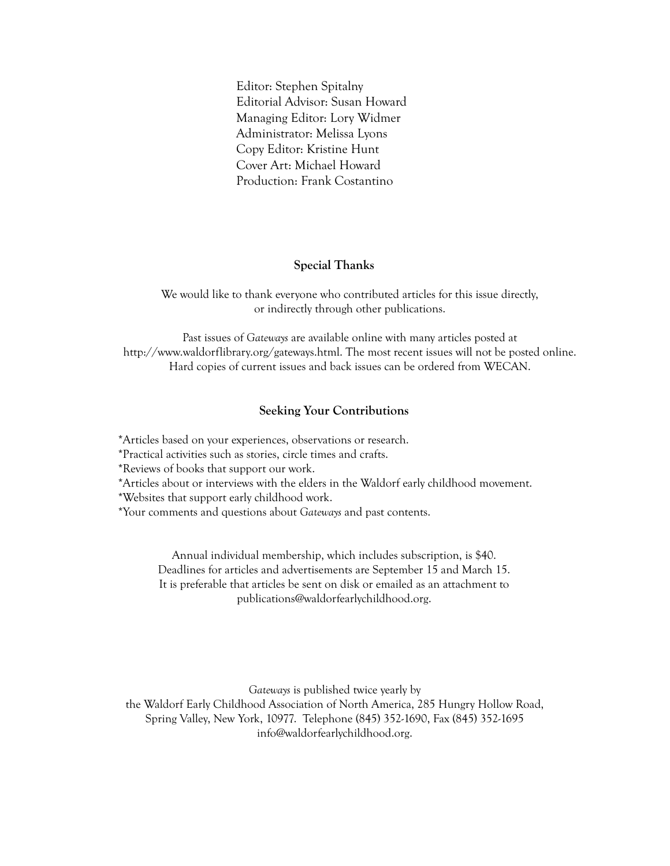Editor: Stephen Spitalny Editorial Advisor: Susan Howard Managing Editor: Lory Widmer Administrator: Melissa Lyons Copy Editor: Kristine Hunt Cover Art: Michael Howard Production: Frank Costantino

### **Special Thanks**

We would like to thank everyone who contributed articles for this issue directly, or indirectly through other publications.

Past issues of *Gateways* are available online with many articles posted at http://www.waldorflibrary.org/gateways.html. The most recent issues will not be posted online. Hard copies of current issues and back issues can be ordered from WECAN.

## **Seeking Your Contributions**

\*Articles based on your experiences, observations or research.

\*Practical activities such as stories, circle times and crafts.

\*Reviews of books that support our work.

\*Articles about or interviews with the elders in the Waldorf early childhood movement.

\*Websites that support early childhood work.

\*Your comments and questions about *Gateways* and past contents.

Annual individual membership, which includes subscription, is \$40. Deadlines for articles and advertisements are September 15 and March 15. It is preferable that articles be sent on disk or emailed as an attachment to publications@waldorfearlychildhood.org.

*Gateways* is published twice yearly by

the Waldorf Early Childhood Association of North America, 285 Hungry Hollow Road, Spring Valley, New York, 10977. Telephone (845) 352-1690, Fax (845) 352-1695 info@waldorfearlychildhood.org.